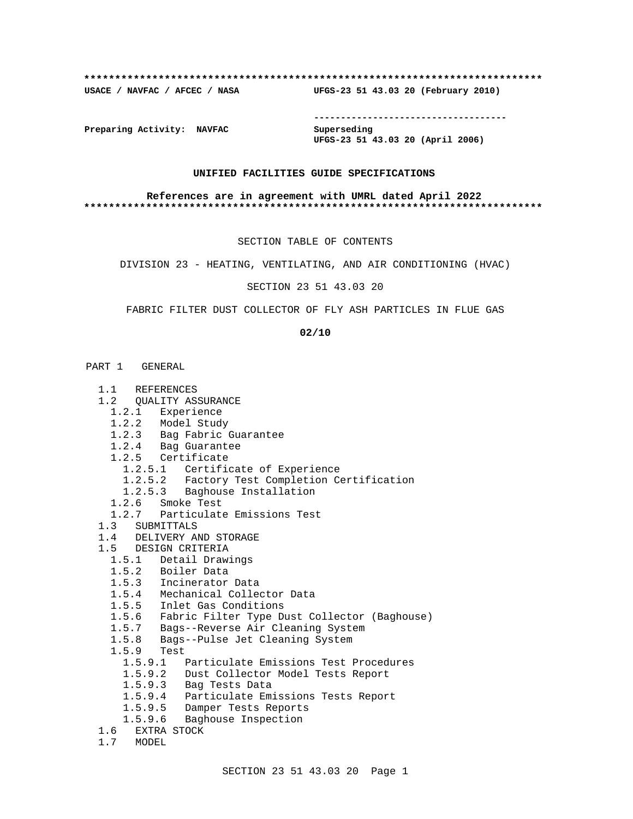#### **\*\*\*\*\*\*\*\*\*\*\*\*\*\*\*\*\*\*\*\*\*\*\*\*\*\*\*\*\*\*\*\*\*\*\*\*\*\*\*\*\*\*\*\*\*\*\*\*\*\*\*\*\*\*\*\*\*\*\*\*\*\*\*\*\*\*\*\*\*\*\*\*\*\***

**USACE / NAVFAC / AFCEC / NASA UFGS-23 51 43.03 20 (February 2010)**

**------------------------------------**

**Preparing Activity: NAVFAC Superseding**

**UFGS-23 51 43.03 20 (April 2006)**

#### **UNIFIED FACILITIES GUIDE SPECIFICATIONS**

#### **References are in agreement with UMRL dated April 2022 \*\*\*\*\*\*\*\*\*\*\*\*\*\*\*\*\*\*\*\*\*\*\*\*\*\*\*\*\*\*\*\*\*\*\*\*\*\*\*\*\*\*\*\*\*\*\*\*\*\*\*\*\*\*\*\*\*\*\*\*\*\*\*\*\*\*\*\*\*\*\*\*\*\***

SECTION TABLE OF CONTENTS

DIVISION 23 - HEATING, VENTILATING, AND AIR CONDITIONING (HVAC)

SECTION 23 51 43.03 20

FABRIC FILTER DUST COLLECTOR OF FLY ASH PARTICLES IN FLUE GAS

#### **02/10**

PART 1 GENERAL

- 1.1 REFERENCES
- 1.2 QUALITY ASSURANCE
	- 1.2.1 Experience
	- 1.2.2 Model Study
	- 1.2.3 Bag Fabric Guarantee
	- 1.2.4 Bag Guarantee
	- 1.2.5 Certificate
		- 1.2.5.1 Certificate of Experience
		- 1.2.5.2 Factory Test Completion Certification
		- 1.2.5.3 Baghouse Installation
	- 1.2.6 Smoke Test
- 1.2.7 Particulate Emissions Test
- 1.3 SUBMITTALS
- 1.4 DELIVERY AND STORAGE
- 1.5 DESIGN CRITERIA
	- 1.5.1 Detail Drawings
	- 1.5.2 Boiler Data
	- 1.5.3 Incinerator Data
	- 1.5.4 Mechanical Collector Data
	- 1.5.5 Inlet Gas Conditions
	- 1.5.6 Fabric Filter Type Dust Collector (Baghouse)
	- 1.5.7 Bags--Reverse Air Cleaning System
	- 1.5.8 Bags--Pulse Jet Cleaning System
	- 1.5.9 Test
		- 1.5.9.1 Particulate Emissions Test Procedures
		- 1.5.9.2 Dust Collector Model Tests Report
		- 1.5.9.3 Bag Tests Data
		- 1.5.9.4 Particulate Emissions Tests Report
		- 1.5.9.5 Damper Tests Reports
		- 1.5.9.6 Baghouse Inspection
- 1.6 EXTRA STOCK
- 1.7 MODEL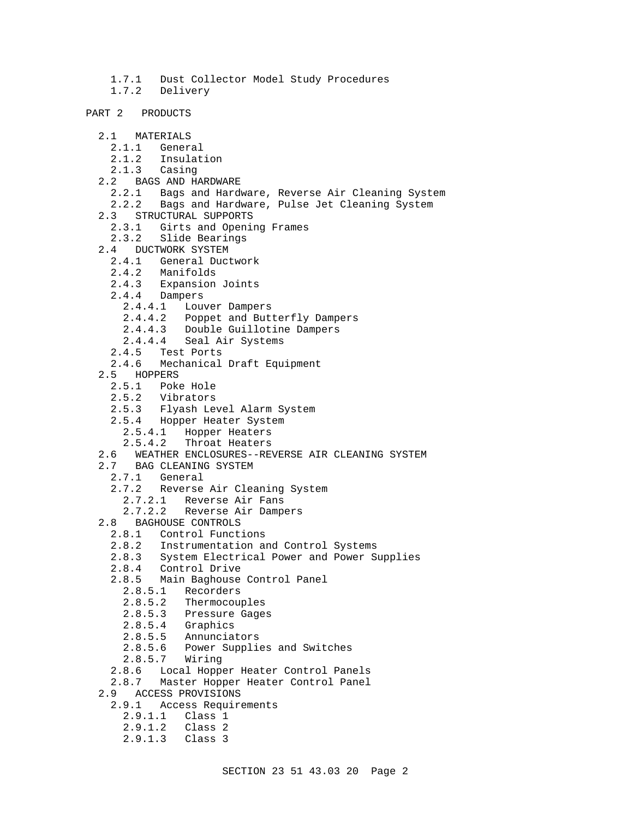1.7.1 Dust Collector Model Study Procedures 1.7.2 Delivery PART 2 PRODUCTS 2.1 MATERIALS 2.1.1 General 2.1.2 Insulation 2.1.3 Casing 2.2 BAGS AND HARDWARE 2.2.1 Bags and Hardware, Reverse Air Cleaning System 2.2.2 Bags and Hardware, Pulse Jet Cleaning System 2.3 STRUCTURAL SUPPORTS 2.3.1 Girts and Opening Frames 2.3.2 Slide Bearings 2.4 DUCTWORK SYSTEM 2.4.1 General Ductwork 2.4.2 Manifolds 2.4.3 Expansion Joints 2.4.4 Dampers 2.4.4.1 Louver Dampers 2.4.4.2 Poppet and Butterfly Dampers 2.4.4.3 Double Guillotine Dampers 2.4.4.4 Seal Air Systems 2.4.5 Test Ports 2.4.6 Mechanical Draft Equipment 2.5 HOPPERS<br>2.5.1 Pok Poke Hole 2.5.2 Vibrators 2.5.3 Flyash Level Alarm System 2.5.4 Hopper Heater System 2.5.4.1 Hopper Heaters 2.5.4.2 Throat Heaters<br>2.6 WEATHER ENCLOSURES--RE 2.6 WEATHER ENCLOSURES--REVERSE AIR CLEANING SYSTEM 2.7 BAG CLEANING SYSTEM 2.7.1 General 2.7.2 Reverse Air Cleaning System 2.7.2.1 Reverse Air Fans<br>2.7.2.2 Reverse Air Damp 2.7.2.2 Reverse Air Dampers 2.8 BAGHOUSE CONTROLS 2.8.1 Control Functions 2.8.2 Instrumentation and Control Systems 2.8.3 System Electrical Power and Power Supplies 2.8.4 Control Drive<br>2.8.5 Main Baghouse Main Baghouse Control Panel 2.8.5.1 Recorders 2.8.5.2 Thermocouples 2.8.5.3 Pressure Gages 2.8.5.4 Graphics 2.8.5.5 Annunciators<br>2.8.5.6 Power Suppli Power Supplies and Switches 2.8.5.7 Wiring 2.8.6 Local Hopper Heater Control Panels 2.8.7 Master Hopper Heater Control Panel 2.9 ACCESS PROVISIONS 2.9.1 Access Requirements 2.9.1.1 Class 1<br>2.9.1.2 Class 2 Class 2 2.9.1.3 Class 3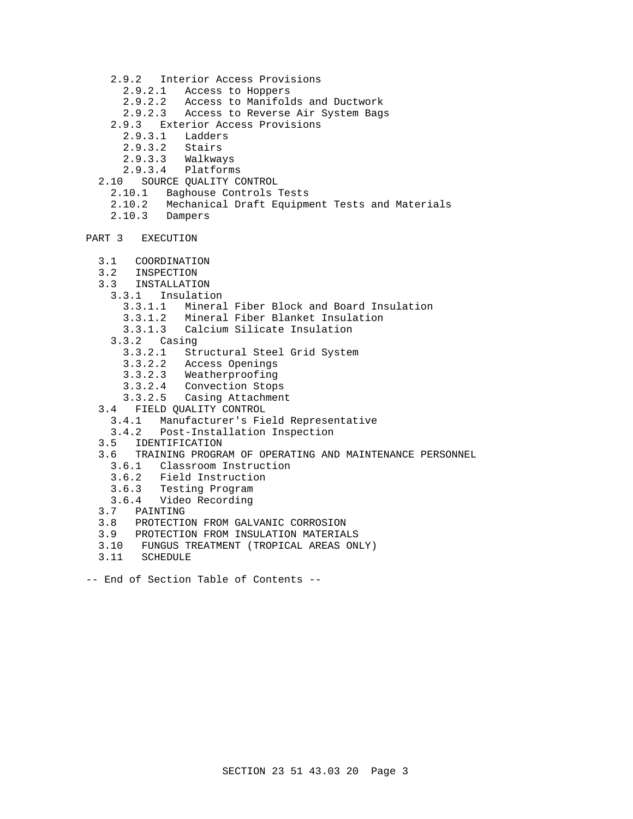- 2.9.2 Interior Access Provisions
	- 2.9.2.1 Access to Hoppers
	- 2.9.2.2 Access to Manifolds and Ductwork
	- 2.9.2.3 Access to Reverse Air System Bags
- 2.9.3 Exterior Access Provisions
	- 2.9.3.1 Ladders
	- 2.9.3.2 Stairs
	- 2.9.3.3 Walkways
	- 2.9.3.4 Platforms
- 2.10 SOURCE QUALITY CONTROL
	- 2.10.1 Baghouse Controls Tests
	- 2.10.2 Mechanical Draft Equipment Tests and Materials
	- 2.10.3 Dampers

### PART 3 EXECUTION

- 3.1 COORDINATION
- 3.2 INSPECTION
- 3.3 INSTALLATION
- 3.3.1 Insulation
	- 3.3.1.1 Mineral Fiber Block and Board Insulation
	- 3.3.1.2 Mineral Fiber Blanket Insulation
	- 3.3.1.3 Calcium Silicate Insulation
	- 3.3.2 Casing
		- 3.3.2.1 Structural Steel Grid System
		- 3.3.2.2 Access Openings
		- 3.3.2.3 Weatherproofing
		- 3.3.2.4 Convection Stops
		- 3.3.2.5 Casing Attachment
- 3.4 FIELD QUALITY CONTROL
	- 3.4.1 Manufacturer's Field Representative
	- 3.4.2 Post-Installation Inspection
- 3.5 IDENTIFICATION
- 3.6 TRAINING PROGRAM OF OPERATING AND MAINTENANCE PERSONNEL
	- 3.6.1 Classroom Instruction
	- 3.6.2 Field Instruction
	- 3.6.3 Testing Program
- 3.6.4 Video Recording
- 3.7 PAINTING
- 3.8 PROTECTION FROM GALVANIC CORROSION
- 3.9 PROTECTION FROM INSULATION MATERIALS
- 3.10 FUNGUS TREATMENT (TROPICAL AREAS ONLY)
- 3.11 SCHEDULE
- -- End of Section Table of Contents --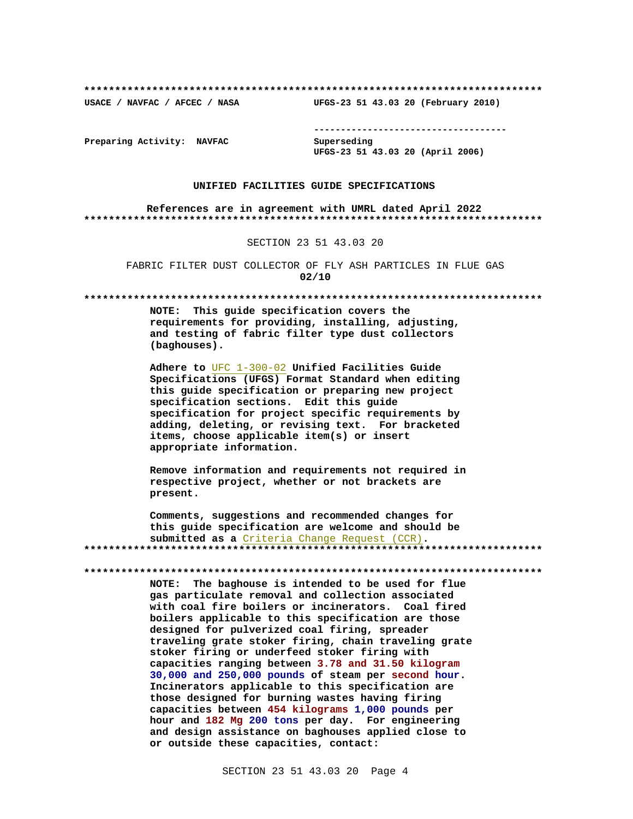USACE / NAVFAC / AFCEC / NASA

--------------------------------------

Preparing Activity: NAVFAC

Superseding UFGS-23 51 43.03 20 (April 2006)

UFGS-23 51 43.03 20 (February 2010)

#### UNIFIED FACILITIES GUIDE SPECIFICATIONS

References are in agreement with UMRL dated April 2022 

SECTION 23 51 43.03 20

FABRIC FILTER DUST COLLECTOR OF FLY ASH PARTICLES IN FLUE GAS  $02/10$ 

NOTE: This quide specification covers the requirements for providing, installing, adjusting, and testing of fabric filter type dust collectors (baghouses).

Adhere to UFC 1-300-02 Unified Facilities Guide Specifications (UFGS) Format Standard when editing this guide specification or preparing new project specification sections. Edit this guide specification for project specific requirements by adding, deleting, or revising text. For bracketed items, choose applicable item(s) or insert appropriate information.

Remove information and requirements not required in respective project, whether or not brackets are present.

Comments, suggestions and recommended changes for this guide specification are welcome and should be submitted as a Criteria Change Request (CCR). 

NOTE: The baghouse is intended to be used for flue gas particulate removal and collection associated with coal fire boilers or incinerators. Coal fired boilers applicable to this specification are those designed for pulverized coal firing, spreader traveling grate stoker firing, chain traveling grate stoker firing or underfeed stoker firing with capacities ranging between 3.78 and 31.50 kilogram 30,000 and 250,000 pounds of steam per second hour. Incinerators applicable to this specification are those designed for burning wastes having firing capacities between 454 kilograms 1,000 pounds per hour and 182 Mg 200 tons per day. For engineering and design assistance on baghouses applied close to or outside these capacities, contact: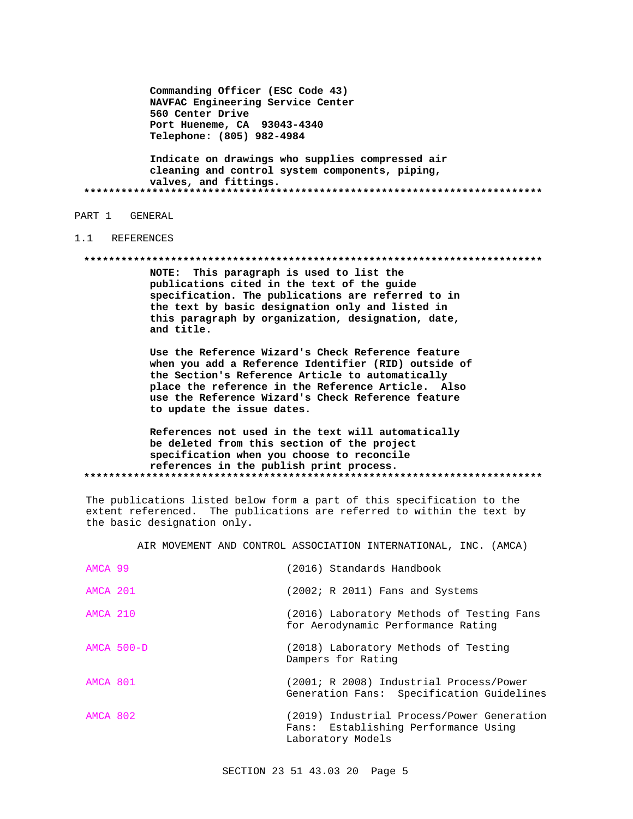Commanding Officer (ESC Code 43) NAVFAC Engineering Service Center 560 Center Drive Port Hueneme, CA 93043-4340 Telephone: (805) 982-4984

Indicate on drawings who supplies compressed air cleaning and control system components, piping, valves, and fittings. 

#### PART 1 GENERAL

#### $1.1$ REFERENCES

#### 

NOTE: This paragraph is used to list the publications cited in the text of the guide specification. The publications are referred to in the text by basic designation only and listed in this paragraph by organization, designation, date, and title.

Use the Reference Wizard's Check Reference feature when you add a Reference Identifier (RID) outside of the Section's Reference Article to automatically place the reference in the Reference Article. Also use the Reference Wizard's Check Reference feature to update the issue dates.

# References not used in the text will automatically be deleted from this section of the project specification when you choose to reconcile references in the publish print process.

The publications listed below form a part of this specification to the extent referenced. The publications are referred to within the text by the basic designation only.

AIR MOVEMENT AND CONTROL ASSOCIATION INTERNATIONAL, INC. (AMCA)

| AMCA 99         |              | (2016) Standards Handbook                                                                               |
|-----------------|--------------|---------------------------------------------------------------------------------------------------------|
| AMCA 201        |              | (2002; R 2011) Fans and Systems                                                                         |
| <b>AMCA 210</b> |              | (2016) Laboratory Methods of Testing Fans<br>for Aerodynamic Performance Rating                         |
|                 | $AMCA 500-D$ | (2018) Laboratory Methods of Testing<br>Dampers for Rating                                              |
| AMCA 801        |              | (2001; R 2008) Industrial Process/Power<br>Generation Fans: Specification Guidelines                    |
| AMCA 802        |              | (2019) Industrial Process/Power Generation<br>Fans: Establishing Performance Using<br>Laboratory Models |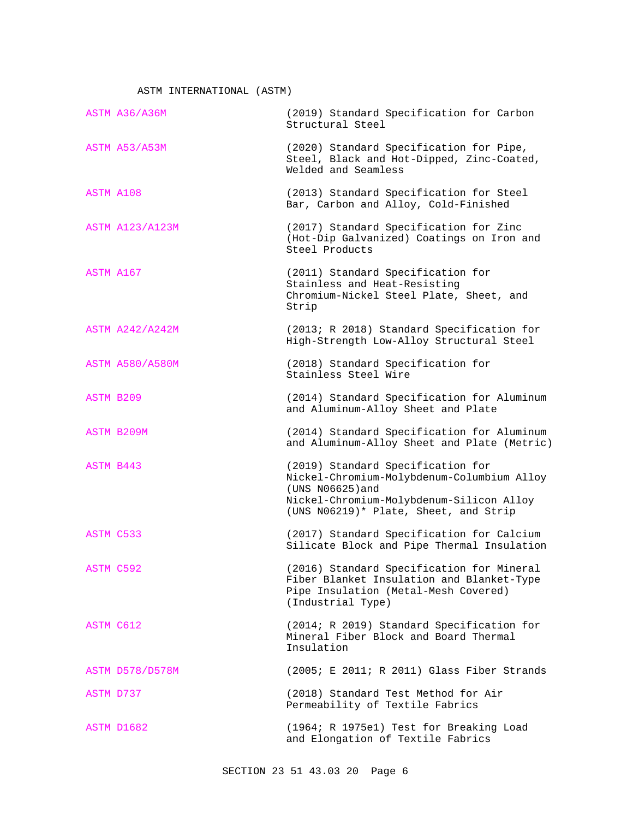ASTM INTERNATIONAL (ASTM)

| ASTM A36/A36M          | (2019) Standard Specification for Carbon<br>Structural Steel                                                                                                                             |
|------------------------|------------------------------------------------------------------------------------------------------------------------------------------------------------------------------------------|
| ASTM A53/A53M          | (2020) Standard Specification for Pipe,<br>Steel, Black and Hot-Dipped, Zinc-Coated,<br>Welded and Seamless                                                                              |
| <b>ASTM A108</b>       | (2013) Standard Specification for Steel<br>Bar, Carbon and Alloy, Cold-Finished                                                                                                          |
| <b>ASTM A123/A123M</b> | (2017) Standard Specification for Zinc<br>(Hot-Dip Galvanized) Coatings on Iron and<br>Steel Products                                                                                    |
| ASTM A167              | (2011) Standard Specification for<br>Stainless and Heat-Resisting<br>Chromium-Nickel Steel Plate, Sheet, and<br>Strip                                                                    |
| <b>ASTM A242/A242M</b> | (2013; R 2018) Standard Specification for<br>High-Strength Low-Alloy Structural Steel                                                                                                    |
| <b>ASTM A580/A580M</b> | (2018) Standard Specification for<br>Stainless Steel Wire                                                                                                                                |
| <b>ASTM B209</b>       | (2014) Standard Specification for Aluminum<br>and Aluminum-Alloy Sheet and Plate                                                                                                         |
| ASTM B209M             | (2014) Standard Specification for Aluminum<br>and Aluminum-Alloy Sheet and Plate (Metric)                                                                                                |
| ASTM B443              | (2019) Standard Specification for<br>Nickel-Chromium-Molybdenum-Columbium Alloy<br>(UNS N06625) and<br>Nickel-Chromium-Molybdenum-Silicon Alloy<br>(UNS N06219)* Plate, Sheet, and Strip |
| ASTM C533              | (2017) Standard Specification for Calcium<br>Silicate Block and Pipe Thermal Insulation                                                                                                  |
| ASTM C592              | (2016) Standard Specification for Mineral<br>Fiber Blanket Insulation and Blanket-Type<br>Pipe Insulation (Metal-Mesh Covered)<br>(Industrial Type)                                      |
| ASTM C612              | (2014; R 2019) Standard Specification for<br>Mineral Fiber Block and Board Thermal<br>Insulation                                                                                         |
| <b>ASTM D578/D578M</b> | $(2005; E 2011; R 2011)$ Glass Fiber Strands                                                                                                                                             |
| ASTM D737              | (2018) Standard Test Method for Air<br>Permeability of Textile Fabrics                                                                                                                   |
| ASTM D1682             | (1964; R 1975e1) Test for Breaking Load<br>and Elongation of Textile Fabrics                                                                                                             |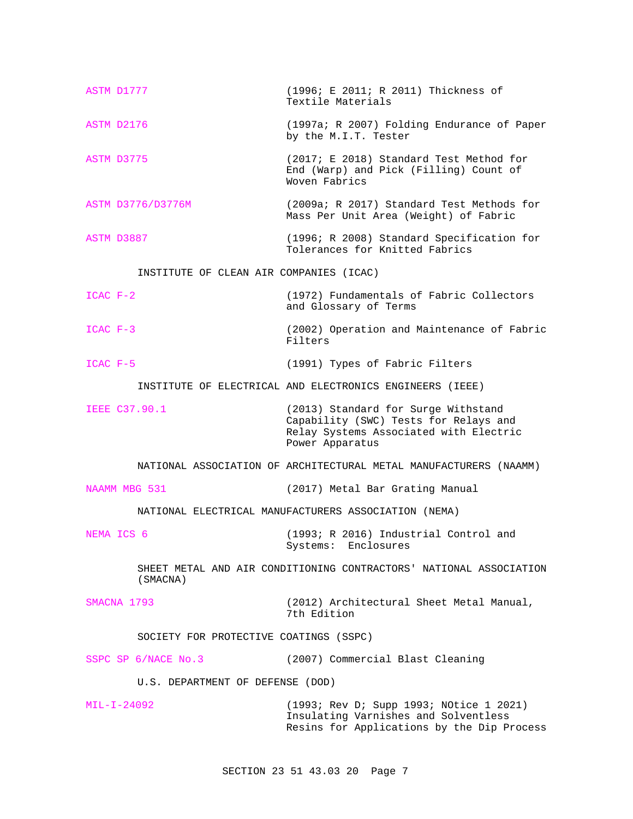ASTM D1777 (1996; E 2011; R 2011) Thickness of Textile Materials ASTM D2176 (1997a; R 2007) Folding Endurance of Paper by the M.I.T. Tester ASTM D3775 (2017; E 2018) Standard Test Method for End (Warp) and Pick (Filling) Count of Woven Fabrics ASTM D3776/D3776M (2009a; R 2017) Standard Test Methods for Mass Per Unit Area (Weight) of Fabric ASTM D3887 (1996; R 2008) Standard Specification for Tolerances for Knitted Fabrics INSTITUTE OF CLEAN AIR COMPANIES (ICAC) ICAC F-2 (1972) Fundamentals of Fabric Collectors and Glossary of Terms ICAC F-3 (2002) Operation and Maintenance of Fabric Filters ICAC F-5 (1991) Types of Fabric Filters INSTITUTE OF ELECTRICAL AND ELECTRONICS ENGINEERS (IEEE) IEEE C37.90.1 (2013) Standard for Surge Withstand Capability (SWC) Tests for Relays and Relay Systems Associated with Electric Power Apparatus NATIONAL ASSOCIATION OF ARCHITECTURAL METAL MANUFACTURERS (NAAMM) NAAMM MBG 531 (2017) Metal Bar Grating Manual NATIONAL ELECTRICAL MANUFACTURERS ASSOCIATION (NEMA) NEMA ICS 6 (1993; R 2016) Industrial Control and Systems: Enclosures SHEET METAL AND AIR CONDITIONING CONTRACTORS' NATIONAL ASSOCIATION (SMACNA) SMACNA 1793 (2012) Architectural Sheet Metal Manual, 7th Edition SOCIETY FOR PROTECTIVE COATINGS (SSPC) SSPC SP 6/NACE No.3 (2007) Commercial Blast Cleaning U.S. DEPARTMENT OF DEFENSE (DOD) MIL-I-24092 (1993; Rev D; Supp 1993; NOtice 1 2021) Insulating Varnishes and Solventless Resins for Applications by the Dip Process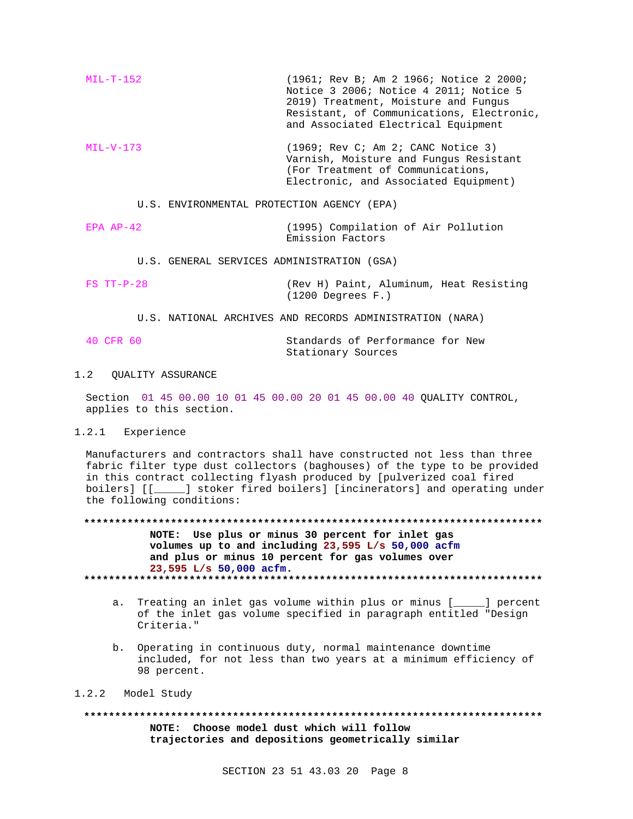MIL-T-152 (1961; Rev B; Am 2 1966; Notice 2 2000; Notice 3 2006; Notice 4 2011; Notice 5 2019) Treatment, Moisture and Fungus Resistant, of Communications, Electronic, and Associated Electrical Equipment MIL-V-173 (1969; Rev C; Am 2; CANC Notice 3)

Varnish, Moisture and Fungus Resistant (For Treatment of Communications, Electronic, and Associated Equipment)

U.S. ENVIRONMENTAL PROTECTION AGENCY (EPA)

EPA AP-42 (1995) Compilation of Air Pollution Emission Factors

U.S. GENERAL SERVICES ADMINISTRATION (GSA)

FS TT-P-28 (Rev H) Paint, Aluminum, Heat Resisting (1200 Degrees F.)

U.S. NATIONAL ARCHIVES AND RECORDS ADMINISTRATION (NARA)

| 40 CFR 60 |                    | Standards of Performance for New |  |
|-----------|--------------------|----------------------------------|--|
|           | Stationary Sources |                                  |  |

#### 1.2 QUALITY ASSURANCE

Section 01 45 00.00 10 01 45 00.00 20 01 45 00.00 40 QUALITY CONTROL, applies to this section.

1.2.1 Experience

Manufacturers and contractors shall have constructed not less than three fabric filter type dust collectors (baghouses) of the type to be provided in this contract collecting flyash produced by [pulverized coal fired boilers] [[\_\_\_\_\_] stoker fired boilers] [incinerators] and operating under the following conditions:

**\*\*\*\*\*\*\*\*\*\*\*\*\*\*\*\*\*\*\*\*\*\*\*\*\*\*\*\*\*\*\*\*\*\*\*\*\*\*\*\*\*\*\*\*\*\*\*\*\*\*\*\*\*\*\*\*\*\*\*\*\*\*\*\*\*\*\*\*\*\*\*\*\*\* NOTE: Use plus or minus 30 percent for inlet gas volumes up to and including 23,595 L/s 50,000 acfm and plus or minus 10 percent for gas volumes over 23,595 L/s 50,000 acfm. \*\*\*\*\*\*\*\*\*\*\*\*\*\*\*\*\*\*\*\*\*\*\*\*\*\*\*\*\*\*\*\*\*\*\*\*\*\*\*\*\*\*\*\*\*\*\*\*\*\*\*\*\*\*\*\*\*\*\*\*\*\*\*\*\*\*\*\*\*\*\*\*\*\***

- a. Treating an inlet gas volume within plus or minus [\_\_\_\_\_] percent of the inlet gas volume specified in paragraph entitled "Design Criteria."
- b. Operating in continuous duty, normal maintenance downtime included, for not less than two years at a minimum efficiency of 98 percent.
- 1.2.2 Model Study

**\*\*\*\*\*\*\*\*\*\*\*\*\*\*\*\*\*\*\*\*\*\*\*\*\*\*\*\*\*\*\*\*\*\*\*\*\*\*\*\*\*\*\*\*\*\*\*\*\*\*\*\*\*\*\*\*\*\*\*\*\*\*\*\*\*\*\*\*\*\*\*\*\*\* NOTE: Choose model dust which will follow trajectories and depositions geometrically similar**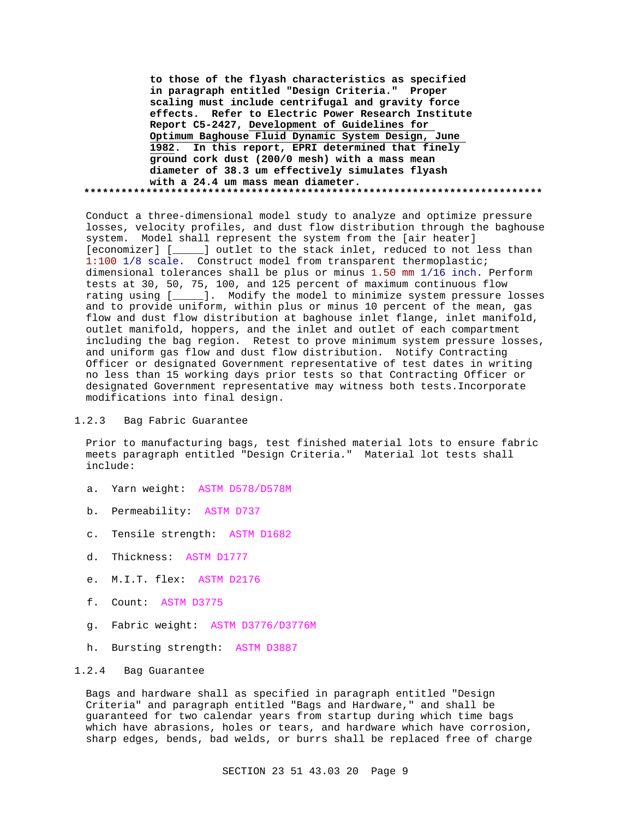**to those of the flyash characteristics as specified in paragraph entitled "Design Criteria." Proper scaling must include centrifugal and gravity force effects. Refer to Electric Power Research Institute Report C5-2427, Development of Guidelines for Optimum Baghouse Fluid Dynamic System Design, June 1982. In this report, EPRI determined that finely ground cork dust (200/0 mesh) with a mass mean diameter of 38.3 um effectively simulates flyash with a 24.4 um mass mean diameter. \*\*\*\*\*\*\*\*\*\*\*\*\*\*\*\*\*\*\*\*\*\*\*\*\*\*\*\*\*\*\*\*\*\*\*\*\*\*\*\*\*\*\*\*\*\*\*\*\*\*\*\*\*\*\*\*\*\*\*\*\*\*\*\*\*\*\*\*\*\*\*\*\*\***

Conduct a three-dimensional model study to analyze and optimize pressure losses, velocity profiles, and dust flow distribution through the baghouse system. Model shall represent the system from the [air heater] [economizer] [\_\_\_\_\_] outlet to the stack inlet, reduced to not less than 1:100 1/8 scale. Construct model from transparent thermoplastic; dimensional tolerances shall be plus or minus 1.50 mm 1/16 inch. Perform tests at 30, 50, 75, 100, and 125 percent of maximum continuous flow<br>rating using [ \_\_\_]. Modify the model to minimize system pressure ] \_]. Modify the model to minimize system pressure losses and to provide uniform, within plus or minus 10 percent of the mean, gas flow and dust flow distribution at baghouse inlet flange, inlet manifold, outlet manifold, hoppers, and the inlet and outlet of each compartment including the bag region. Retest to prove minimum system pressure losses, and uniform gas flow and dust flow distribution. Notify Contracting Officer or designated Government representative of test dates in writing no less than 15 working days prior tests so that Contracting Officer or designated Government representative may witness both tests.Incorporate modifications into final design.

### 1.2.3 Bag Fabric Guarantee

Prior to manufacturing bags, test finished material lots to ensure fabric meets paragraph entitled "Design Criteria." Material lot tests shall include:

- a. Yarn weight: ASTM D578/D578M
- b. Permeability: ASTM D737
- c. Tensile strength: ASTM D1682
- d. Thickness: ASTM D1777
- e. M.I.T. flex: ASTM D2176
- f. Count: ASTM D3775
- g. Fabric weight: ASTM D3776/D3776M
- h. Bursting strength: ASTM D3887

#### 1.2.4 Bag Guarantee

Bags and hardware shall as specified in paragraph entitled "Design Criteria" and paragraph entitled "Bags and Hardware," and shall be guaranteed for two calendar years from startup during which time bags which have abrasions, holes or tears, and hardware which have corrosion, sharp edges, bends, bad welds, or burrs shall be replaced free of charge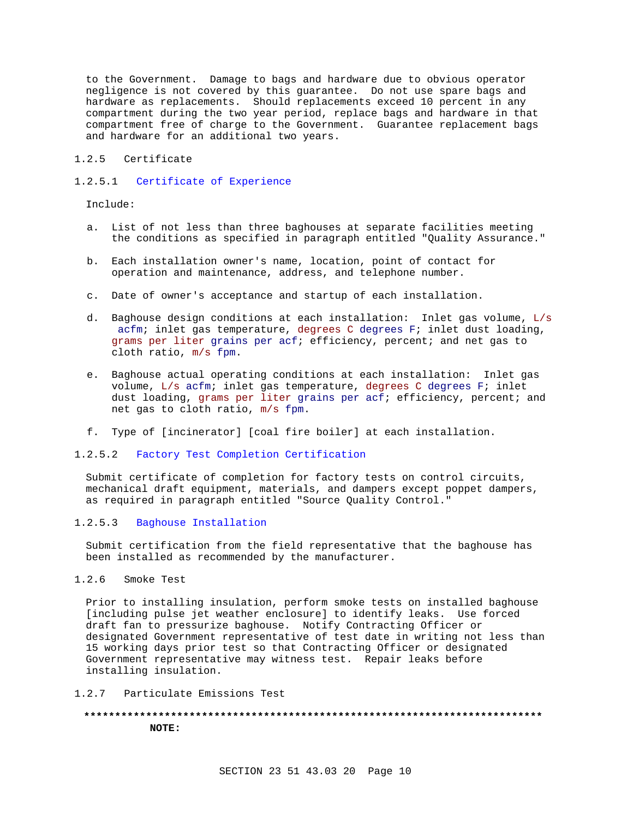to the Government. Damage to bags and hardware due to obvious operator negligence is not covered by this guarantee. Do not use spare bags and hardware as replacements. Should replacements exceed 10 percent in any compartment during the two year period, replace bags and hardware in that compartment free of charge to the Government. Guarantee replacement bags and hardware for an additional two years.

#### 1.2.5 Certificate

#### 1.2.5.1 Certificate of Experience

Include:

- a. List of not less than three baghouses at separate facilities meeting the conditions as specified in paragraph entitled "Quality Assurance."
- b. Each installation owner's name, location, point of contact for operation and maintenance, address, and telephone number.
- c. Date of owner's acceptance and startup of each installation.
- d. Baghouse design conditions at each installation: Inlet gas volume, L/s acfm; inlet gas temperature, degrees C degrees F; inlet dust loading, grams per liter grains per acf; efficiency, percent; and net gas to cloth ratio, m/s fpm.
- e. Baghouse actual operating conditions at each installation: Inlet gas volume, L/s acfm; inlet gas temperature, degrees C degrees F; inlet dust loading, grams per liter grains per acf; efficiency, percent; and net gas to cloth ratio, m/s fpm.
- f. Type of [incinerator] [coal fire boiler] at each installation.

#### 1.2.5.2 Factory Test Completion Certification

Submit certificate of completion for factory tests on control circuits, mechanical draft equipment, materials, and dampers except poppet dampers, as required in paragraph entitled "Source Quality Control."

#### 1.2.5.3 Baghouse Installation

Submit certification from the field representative that the baghouse has been installed as recommended by the manufacturer.

1.2.6 Smoke Test

Prior to installing insulation, perform smoke tests on installed baghouse [including pulse jet weather enclosure] to identify leaks. Use forced draft fan to pressurize baghouse. Notify Contracting Officer or designated Government representative of test date in writing not less than 15 working days prior test so that Contracting Officer or designated Government representative may witness test. Repair leaks before installing insulation.

1.2.7 Particulate Emissions Test

**\*\*\*\*\*\*\*\*\*\*\*\*\*\*\*\*\*\*\*\*\*\*\*\*\*\*\*\*\*\*\*\*\*\*\*\*\*\*\*\*\*\*\*\*\*\*\*\*\*\*\*\*\*\*\*\*\*\*\*\*\*\*\*\*\*\*\*\*\*\*\*\*\*\* NOTE:**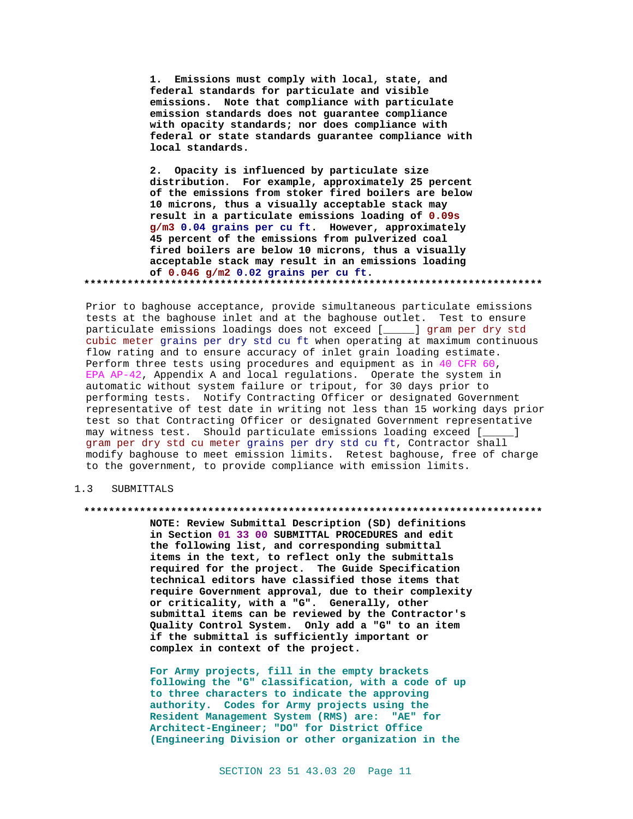**1. Emissions must comply with local, state, and federal standards for particulate and visible emissions. Note that compliance with particulate emission standards does not guarantee compliance with opacity standards; nor does compliance with federal or state standards guarantee compliance with local standards.**

**2. Opacity is influenced by particulate size distribution. For example, approximately 25 percent of the emissions from stoker fired boilers are below 10 microns, thus a visually acceptable stack may result in a particulate emissions loading of 0.09s g/m3 0.04 grains per cu ft. However, approximately 45 percent of the emissions from pulverized coal fired boilers are below 10 microns, thus a visually acceptable stack may result in an emissions loading of 0.046 g/m2 0.02 grains per cu ft. \*\*\*\*\*\*\*\*\*\*\*\*\*\*\*\*\*\*\*\*\*\*\*\*\*\*\*\*\*\*\*\*\*\*\*\*\*\*\*\*\*\*\*\*\*\*\*\*\*\*\*\*\*\*\*\*\*\*\*\*\*\*\*\*\*\*\*\*\*\*\*\*\*\***

Prior to baghouse acceptance, provide simultaneous particulate emissions tests at the baghouse inlet and at the baghouse outlet. Test to ensure particulate emissions loadings does not exceed [\_\_\_\_\_] gram per dry std cubic meter grains per dry std cu ft when operating at maximum continuous flow rating and to ensure accuracy of inlet grain loading estimate. Perform three tests using procedures and equipment as in 40 CFR 60, EPA AP-42, Appendix A and local regulations. Operate the system in automatic without system failure or tripout, for 30 days prior to performing tests. Notify Contracting Officer or designated Government representative of test date in writing not less than 15 working days prior test so that Contracting Officer or designated Government representative may witness test. Should particulate emissions loading exceed [\_\_\_\_\_] gram per dry std cu meter grains per dry std cu ft, Contractor shall modify baghouse to meet emission limits. Retest baghouse, free of charge to the government, to provide compliance with emission limits.

#### 1.3 SUBMITTALS

#### **\*\*\*\*\*\*\*\*\*\*\*\*\*\*\*\*\*\*\*\*\*\*\*\*\*\*\*\*\*\*\*\*\*\*\*\*\*\*\*\*\*\*\*\*\*\*\*\*\*\*\*\*\*\*\*\*\*\*\*\*\*\*\*\*\*\*\*\*\*\*\*\*\*\***

**NOTE: Review Submittal Description (SD) definitions in Section 01 33 00 SUBMITTAL PROCEDURES and edit the following list, and corresponding submittal items in the text, to reflect only the submittals required for the project. The Guide Specification technical editors have classified those items that require Government approval, due to their complexity or criticality, with a "G". Generally, other submittal items can be reviewed by the Contractor's Quality Control System. Only add a "G" to an item if the submittal is sufficiently important or complex in context of the project.**

**For Army projects, fill in the empty brackets following the "G" classification, with a code of up to three characters to indicate the approving authority. Codes for Army projects using the Resident Management System (RMS) are: "AE" for Architect-Engineer; "DO" for District Office (Engineering Division or other organization in the**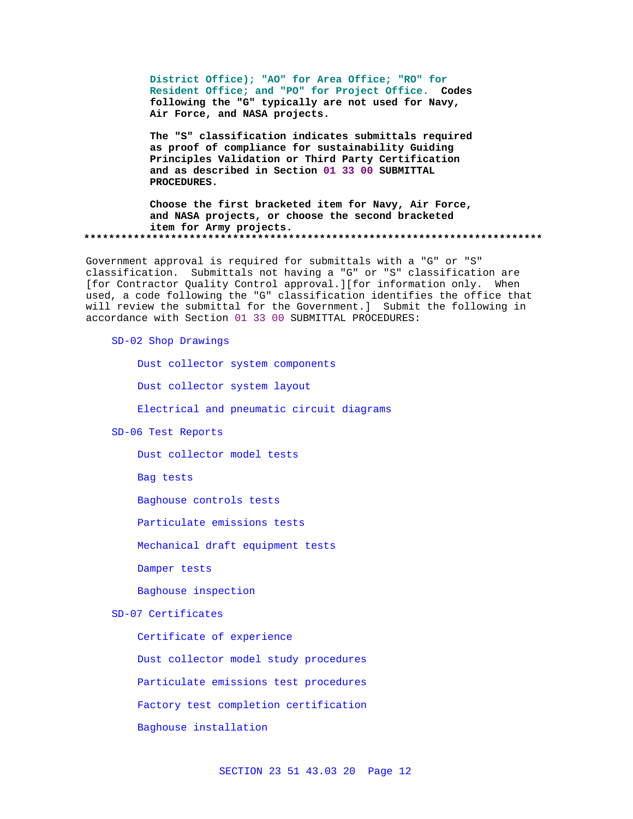**District Office); "AO" for Area Office; "RO" for Resident Office; and "PO" for Project Office. Codes following the "G" typically are not used for Navy, Air Force, and NASA projects.**

**The "S" classification indicates submittals required as proof of compliance for sustainability Guiding Principles Validation or Third Party Certification and as described in Section 01 33 00 SUBMITTAL PROCEDURES.**

**Choose the first bracketed item for Navy, Air Force, and NASA projects, or choose the second bracketed item for Army projects. \*\*\*\*\*\*\*\*\*\*\*\*\*\*\*\*\*\*\*\*\*\*\*\*\*\*\*\*\*\*\*\*\*\*\*\*\*\*\*\*\*\*\*\*\*\*\*\*\*\*\*\*\*\*\*\*\*\*\*\*\*\*\*\*\*\*\*\*\*\*\*\*\*\***

Government approval is required for submittals with a "G" or "S" classification. Submittals not having a "G" or "S" classification are [for Contractor Quality Control approval.][for information only. When used, a code following the "G" classification identifies the office that will review the submittal for the Government.] Submit the following in accordance with Section 01 33 00 SUBMITTAL PROCEDURES:

#### SD-02 Shop Drawings

Dust collector system components Dust collector system layout

Electrical and pneumatic circuit diagrams

SD-06 Test Reports

Dust collector model tests

Bag tests

Baghouse controls tests

Particulate emissions tests

Mechanical draft equipment tests

Damper tests

Baghouse inspection

### SD-07 Certificates

Certificate of experience

Dust collector model study procedures

Particulate emissions test procedures

Factory test completion certification

Baghouse installation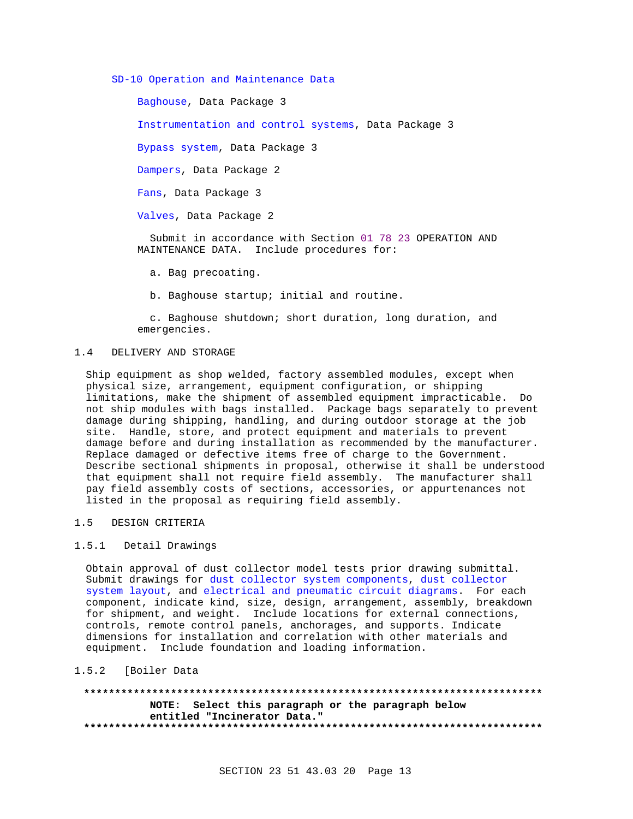SD-10 Operation and Maintenance Data

Baghouse, Data Package 3 Instrumentation and control systems, Data Package 3 Bypass system, Data Package 3 Dampers, Data Package 2 Fans, Data Package 3 Valves, Data Package 2 Submit in accordance with Section 01 78 23 OPERATION AND MAINTENANCE DATA. Include procedures for:

a. Bag precoating.

b. Baghouse startup; initial and routine.

c. Baghouse shutdown; short duration, long duration, and emergencies.

#### $1.4$ DELIVERY AND STORAGE

Ship equipment as shop welded, factory assembled modules, except when physical size, arrangement, equipment configuration, or shipping limitations, make the shipment of assembled equipment impracticable. Do not ship modules with bags installed. Package bags separately to prevent damage during shipping, handling, and during outdoor storage at the job site. Handle, store, and protect equipment and materials to prevent damage before and during installation as recommended by the manufacturer. Replace damaged or defective items free of charge to the Government. Describe sectional shipments in proposal, otherwise it shall be understood that equipment shall not require field assembly. The manufacturer shall pay field assembly costs of sections, accessories, or appurtenances not listed in the proposal as requiring field assembly.

#### $1.5$ DESIGN CRITERIA

#### $1.5.1$ Detail Drawings

Obtain approval of dust collector model tests prior drawing submittal. Submit drawings for dust collector system components, dust collector system layout, and electrical and pneumatic circuit diagrams. For each component, indicate kind, size, design, arrangement, assembly, breakdown for shipment, and weight. Include locations for external connections, controls, remote control panels, anchorages, and supports. Indicate dimensions for installation and correlation with other materials and equipment. Include foundation and loading information.

#### 1.5.2 [Boiler Data

\*\*\*\*\*\*\*\*\*\*\*\*\*\*\* NOTE: Select this paragraph or the paragraph below entitled "Incinerator Data."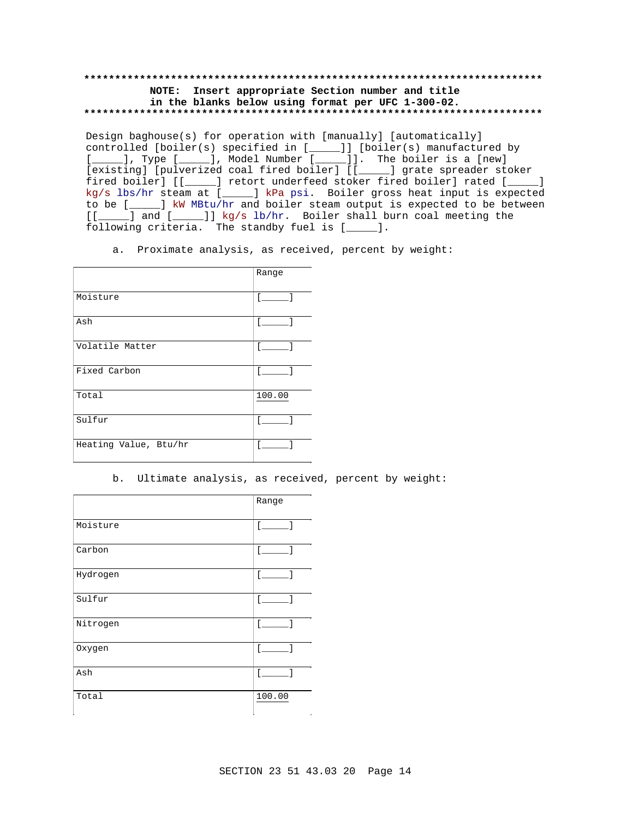# **\*\*\*\*\*\*\*\*\*\*\*\*\*\*\*\*\*\*\*\*\*\*\*\*\*\*\*\*\*\*\*\*\*\*\*\*\*\*\*\*\*\*\*\*\*\*\*\*\*\*\*\*\*\*\*\*\*\*\*\*\*\*\*\*\*\*\*\*\*\*\*\*\*\* NOTE: Insert appropriate Section number and title in the blanks below using format per UFC 1-300-02. \*\*\*\*\*\*\*\*\*\*\*\*\*\*\*\*\*\*\*\*\*\*\*\*\*\*\*\*\*\*\*\*\*\*\*\*\*\*\*\*\*\*\*\*\*\*\*\*\*\*\*\*\*\*\*\*\*\*\*\*\*\*\*\*\*\*\*\*\*\*\*\*\*\***

Design baghouse(s) for operation with [manually] [automatically] controlled [boiler(s) specified in [\_\_\_\_\_]] [boiler(s) manufactured by [\_\_\_\_\_], Type [\_\_\_\_\_], Model Number [\_\_\_\_\_]]. The boiler is a [new] [existing] [pulverized coal fired boiler] [[\_\_\_\_] grate spreader stoker fired boiler] [[\_\_\_\_\_] retort underfeed stoker fired boiler] rated [\_\_\_\_\_] kg/s lbs/hr steam at [\_\_\_\_\_] kPa psi. Boiler gross heat input is expected to be [\_\_\_\_\_] kW MBtu/hr and boiler steam output is expected to be between [[\_\_\_\_\_] and [\_\_\_\_\_]] kg/s lb/hr. Boiler shall burn coal meeting the following criteria. The standby fuel is [\_\_\_\_\_].

a. Proximate analysis, as received, percent by weight:

|                       | Range  |
|-----------------------|--------|
| Moisture              |        |
| Ash                   |        |
| Volatile Matter       |        |
| Fixed Carbon          |        |
| Total                 | 100.00 |
| Sulfur                |        |
| Heating Value, Btu/hr |        |

b. Ultimate analysis, as received, percent by weight:

|          | Range                                          |
|----------|------------------------------------------------|
| Moisture | $\mathbb{R}$                                   |
| Carbon   | $\mathbf{L}$                                   |
| Hydrogen | $\mathbf{L}$                                   |
| Sulfur   | $\mathbf{r}$                                   |
| Nitrogen | $\begin{bmatrix} 1 & 1 \\ 1 & 1 \end{bmatrix}$ |
| Oxygen   | $\mathbb{F}_{\mathbb{Z}}$                      |
| Ash      | $\mathbf{r}$                                   |
| Total    | 100.00                                         |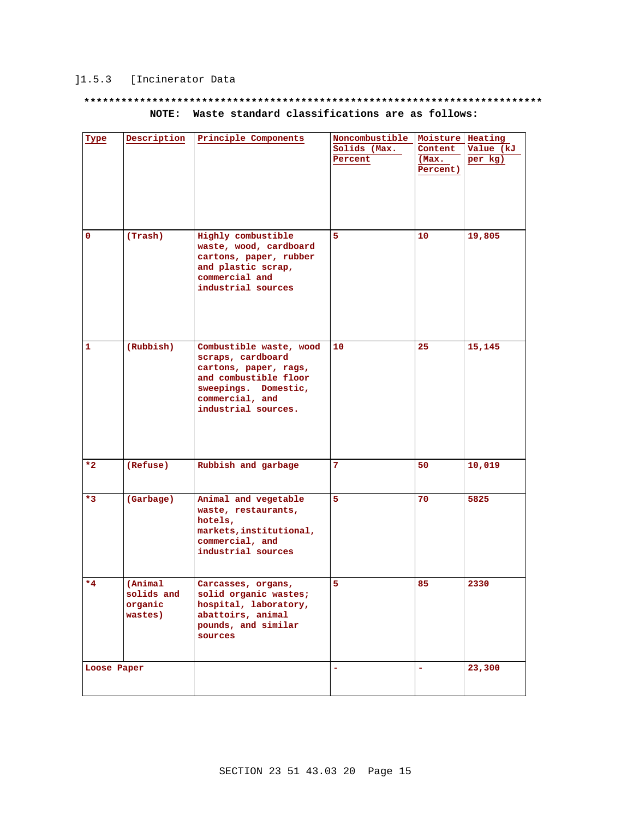# ]1.5.3 [Incinerator Data

# **\*\*\*\*\*\*\*\*\*\*\*\*\*\*\*\*\*\*\*\*\*\*\*\*\*\*\*\*\*\*\*\*\*\*\*\*\*\*\*\*\*\*\*\*\*\*\*\*\*\*\*\*\*\*\*\*\*\*\*\*\*\*\*\*\*\*\*\*\*\*\*\*\*\***

|  |  |  | NOTE: Waste standard classifications are as follows: |  |  |  |
|--|--|--|------------------------------------------------------|--|--|--|
|--|--|--|------------------------------------------------------|--|--|--|

| Type        | Description                                 | Principle Components                                                                                                                                             | Noncombustible<br>Solids (Max.<br>Percent | Moisture  <br>Content<br>(Max.<br>Percent) | Heating<br>Value (kJ<br>per kg) |
|-------------|---------------------------------------------|------------------------------------------------------------------------------------------------------------------------------------------------------------------|-------------------------------------------|--------------------------------------------|---------------------------------|
| 0           | (Trash)                                     | Highly combustible<br>waste, wood, cardboard<br>cartons, paper, rubber<br>and plastic scrap,<br>commercial and<br>industrial sources                             | 5                                         | 10                                         | 19,805                          |
| 1           | (Rubbish)                                   | Combustible waste, wood<br>scraps, cardboard<br>cartons, paper, rags,<br>and combustible floor<br>sweepings. Domestic,<br>commercial, and<br>industrial sources. | 10                                        | 25                                         | 15,145                          |
| *2          | (Refuse)                                    | Rubbish and garbage                                                                                                                                              | 7                                         | 50                                         | 10,019                          |
| $*3$        | (Garbage)                                   | Animal and vegetable<br>waste, restaurants,<br>hotels,<br>markets, institutional,<br>commercial, and<br>industrial sources                                       | 5                                         | 70                                         | 5825                            |
| $*4$        | (Animal<br>solids and<br>organic<br>wastes) | Carcasses, organs,<br>solid organic wastes;<br>hospital, laboratory,<br>abattoirs, animal<br>pounds, and similar<br>sources                                      | 5                                         | 85                                         | 2330                            |
| Loose Paper |                                             |                                                                                                                                                                  | $\overline{\phantom{a}}$                  | ÷                                          | 23,300                          |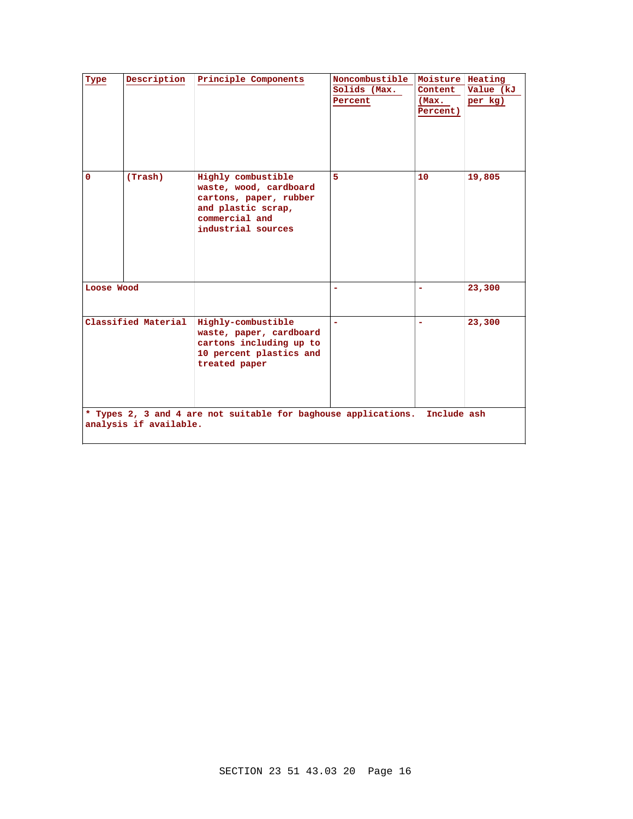| <b>Type</b>         | Description                                                                                             | Principle Components                                                                                                                 | Noncombustible<br>Solids (Max.<br>Percent | Moisture   Heating<br>Content<br>(Max.<br>Percent) | $\overline{\text{Value}}$ ( $kJ$<br>per kg) |  |  |
|---------------------|---------------------------------------------------------------------------------------------------------|--------------------------------------------------------------------------------------------------------------------------------------|-------------------------------------------|----------------------------------------------------|---------------------------------------------|--|--|
| $\mathbf{0}$        | (Trash)                                                                                                 | Highly combustible<br>waste, wood, cardboard<br>cartons, paper, rubber<br>and plastic scrap,<br>commercial and<br>industrial sources | 5                                         | 10 <sup>°</sup>                                    | 19,805                                      |  |  |
| Loose Wood          |                                                                                                         |                                                                                                                                      |                                           | ÷                                                  | 23,300                                      |  |  |
| Classified Material |                                                                                                         | Highly-combustible<br>waste, paper, cardboard<br>cartons including up to<br>10 percent plastics and<br>treated paper                 |                                           |                                                    | 23,300                                      |  |  |
|                     | * Types 2, 3 and 4 are not suitable for baghouse applications.<br>Include ash<br>analysis if available. |                                                                                                                                      |                                           |                                                    |                                             |  |  |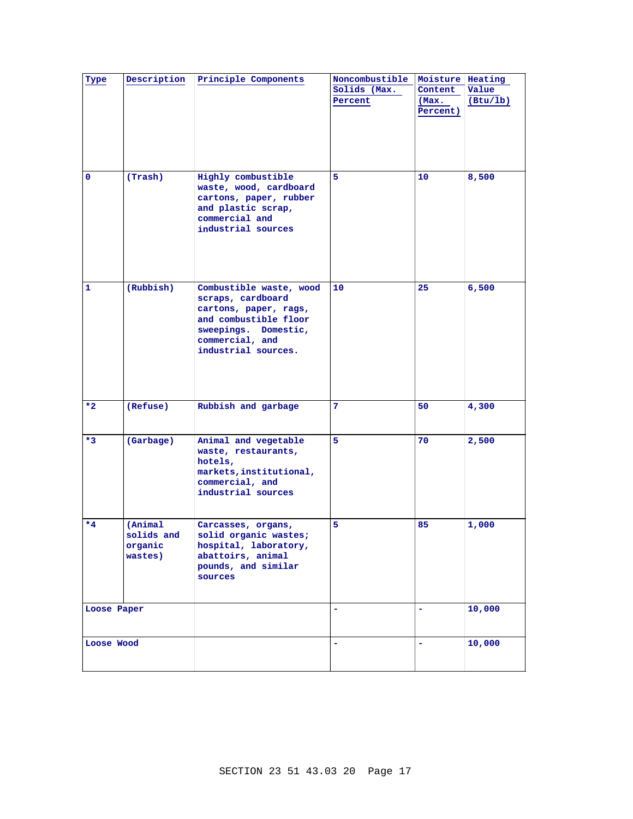| Type         | Description | Principle Components    | Noncombustible | Moisture   Heating       |          |
|--------------|-------------|-------------------------|----------------|--------------------------|----------|
|              |             |                         | Solids (Max.   | Content                  | Value    |
|              |             |                         | Percent        | (Max.                    | (Btu/1b) |
|              |             |                         |                |                          |          |
|              |             |                         |                | Percent)                 |          |
|              |             |                         |                |                          |          |
|              |             |                         |                |                          |          |
|              |             |                         |                |                          |          |
|              |             |                         |                |                          |          |
|              |             |                         |                |                          |          |
| $\mathbf{0}$ | (Trash)     | Highly combustible      | 5.             | 10                       | 8,500    |
|              |             |                         |                |                          |          |
|              |             | waste, wood, cardboard  |                |                          |          |
|              |             | cartons, paper, rubber  |                |                          |          |
|              |             | and plastic scrap,      |                |                          |          |
|              |             | commercial and          |                |                          |          |
|              |             | industrial sources      |                |                          |          |
|              |             |                         |                |                          |          |
|              |             |                         |                |                          |          |
|              |             |                         |                |                          |          |
|              |             |                         |                |                          |          |
|              |             |                         |                |                          |          |
| 1            | (Rubbish)   | Combustible waste, wood | 10             | 25                       | 6,500    |
|              |             | scraps, cardboard       |                |                          |          |
|              |             | cartons, paper, rags,   |                |                          |          |
|              |             | and combustible floor   |                |                          |          |
|              |             | sweepings. Domestic,    |                |                          |          |
|              |             | commercial, and         |                |                          |          |
|              |             | industrial sources.     |                |                          |          |
|              |             |                         |                |                          |          |
|              |             |                         |                |                          |          |
|              |             |                         |                |                          |          |
|              |             |                         |                |                          |          |
|              |             |                         |                |                          |          |
| *2           | (Refuse)    | Rubbish and garbage     | 7              | 50                       | 4,300    |
|              |             |                         |                |                          |          |
|              |             |                         |                |                          |          |
| $*3$         | (Garbage)   | Animal and vegetable    | 5.             | 70                       | 2,500    |
|              |             | waste, restaurants,     |                |                          |          |
|              |             | hotels,                 |                |                          |          |
|              |             | markets, institutional, |                |                          |          |
|              |             | commercial, and         |                |                          |          |
|              |             | industrial sources      |                |                          |          |
|              |             |                         |                |                          |          |
|              |             |                         |                |                          |          |
|              |             |                         |                |                          |          |
| $*4$         | (Animal     | Carcasses, organs,      | 5              | 85                       | 1,000    |
|              | solids and  | solid organic wastes;   |                |                          |          |
|              | organic     | hospital, laboratory,   |                |                          |          |
|              | wastes)     | abattoirs, animal       |                |                          |          |
|              |             | pounds, and similar     |                |                          |          |
|              |             | sources                 |                |                          |          |
|              |             |                         |                |                          |          |
|              |             |                         |                |                          |          |
| Loose Paper  |             |                         | ÷,             | $\overline{\phantom{a}}$ | 10,000   |
|              |             |                         |                |                          |          |
|              |             |                         |                |                          |          |
|              |             |                         |                |                          |          |
| Loose Wood   |             |                         |                | $\overline{\phantom{a}}$ | 10,000   |
|              |             |                         |                |                          |          |
|              |             |                         |                |                          |          |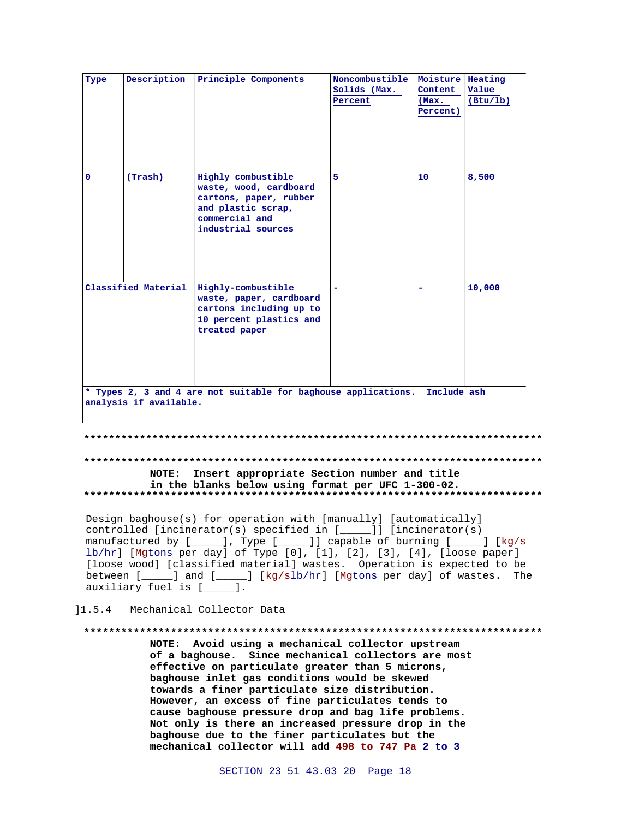| Type                                                                                                                                                                                                                                                                                                                                                                                                                                                                                                                     | Description                                                                                          | Principle Components                                                                                                                 | Noncombustible<br>Solids (Max.<br>Percent | Moisture<br>Content<br>(Max.<br>Percent) | Heating<br>Value<br>(Btu/1b) |  |  |
|--------------------------------------------------------------------------------------------------------------------------------------------------------------------------------------------------------------------------------------------------------------------------------------------------------------------------------------------------------------------------------------------------------------------------------------------------------------------------------------------------------------------------|------------------------------------------------------------------------------------------------------|--------------------------------------------------------------------------------------------------------------------------------------|-------------------------------------------|------------------------------------------|------------------------------|--|--|
| $\mathbf 0$                                                                                                                                                                                                                                                                                                                                                                                                                                                                                                              | (Trash)                                                                                              | Highly combustible<br>waste, wood, cardboard<br>cartons, paper, rubber<br>and plastic scrap,<br>commercial and<br>industrial sources | 5                                         | 10                                       | 8,500                        |  |  |
|                                                                                                                                                                                                                                                                                                                                                                                                                                                                                                                          | Classified Material                                                                                  | Highly-combustible<br>waste, paper, cardboard<br>cartons including up to<br>10 percent plastics and<br>treated paper                 |                                           |                                          | 10,000                       |  |  |
|                                                                                                                                                                                                                                                                                                                                                                                                                                                                                                                          | * Types 2, 3 and 4 are not suitable for baghouse applications. Include ash<br>analysis if available. |                                                                                                                                      |                                           |                                          |                              |  |  |
|                                                                                                                                                                                                                                                                                                                                                                                                                                                                                                                          |                                                                                                      |                                                                                                                                      |                                           |                                          |                              |  |  |
| Insert appropriate Section number and title<br><b>NOTE:</b><br>in the blanks below using format per UFC 1-300-02.                                                                                                                                                                                                                                                                                                                                                                                                        |                                                                                                      |                                                                                                                                      |                                           |                                          |                              |  |  |
| Design baghouse(s) for operation with [manually] [automatically]<br>controlled [incinerator(s) specified in $[\_\_$ [incinerator(s)<br>manufactured by [_____], Type [_____]] capable of burning [____] [kg/s<br>$lb/hr$ [Mgtons per day] of Type [0], [1], [2], [3], [4], [loose paper]<br>[loose wood] [classified material] wastes. Operation is expected to be<br>between $[\underline{\hspace{1cm}}]$ and $[\underline{\hspace{1cm}}]$ [kg/slb/hr] [Mgtons per day] of wastes.<br>The<br>auxiliary fuel is [_<br>1. |                                                                                                      |                                                                                                                                      |                                           |                                          |                              |  |  |

 $\star$ 

11.5.4 Mechanical Collector Data

#### 

NOTE: Avoid using a mechanical collector upstream of a baghouse. Since mechanical collectors are most effective on particulate greater than 5 microns, baghouse inlet gas conditions would be skewed towards a finer particulate size distribution. However, an excess of fine particulates tends to cause baghouse pressure drop and bag life problems. Not only is there an increased pressure drop in the baghouse due to the finer particulates but the mechanical collector will add 498 to 747 Pa 2 to 3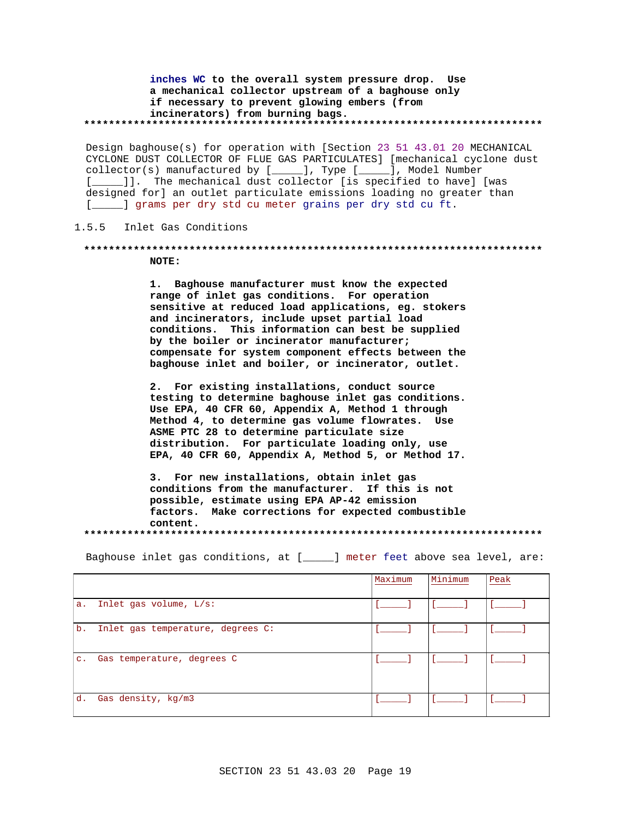inches WC to the overall system pressure drop. Use a mechanical collector upstream of a baghouse only if necessary to prevent glowing embers (from incinerators) from burning bags. 

Design baghouse(s) for operation with [Section 23 51 43.01 20 MECHANICAL CYCLONE DUST COLLECTOR OF FLUE GAS PARTICULATES] [mechanical cyclone dust collector(s) manufactured by [\_\_\_\_\_], Type [\_\_\_\_\_], Model Number [\_\_\_\_\_]]. The mechanical dust collector [is specified to have] [was designed for] an outlet particulate emissions loading no greater than [\_\_\_\_] grams per dry std cu meter grains per dry std cu ft.

#### $1.5.5$ Inlet Gas Conditions

d. Gas density, kg/m3

# NOTE:

1. Baghouse manufacturer must know the expected range of inlet gas conditions. For operation sensitive at reduced load applications, eg. stokers and incinerators, include upset partial load conditions. This information can best be supplied by the boiler or incinerator manufacturer; compensate for system component effects between the baghouse inlet and boiler, or incinerator, outlet.

2. For existing installations, conduct source testing to determine baghouse inlet gas conditions. Use EPA, 40 CFR 60, Appendix A, Method 1 through Method 4, to determine gas volume flowrates. Use ASME PTC 28 to determine particulate size distribution. For particulate loading only, use EPA, 40 CFR 60, Appendix A, Method 5, or Method 17.

3. For new installations, obtain inlet gas conditions from the manufacturer. If this is not possible, estimate using EPA AP-42 emission factors. Make corrections for expected combustible content. 

Maximum Minimum Peak a. Inlet gas volume, L/s: b. Inlet gas temperature, degrees C: c. Gas temperature, degrees C  $\overline{1}$ 

Baghouse inlet gas conditions, at [\_\_\_\_\_] meter feet above sea level, are:

 $\overline{1}$ 

T.

T

T.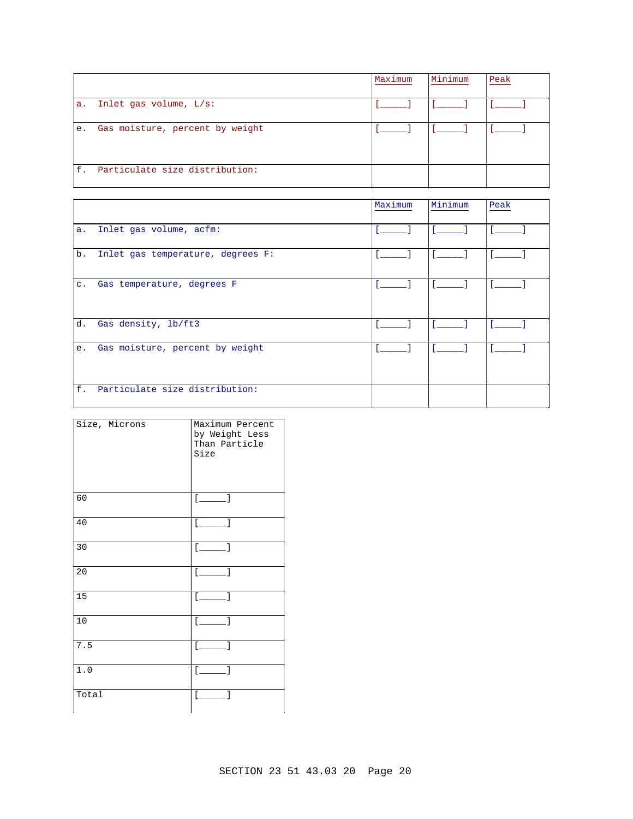|       |                                 | Maximum | Minimum | Peak |
|-------|---------------------------------|---------|---------|------|
| a.    | Inlet gas volume, $L/s$ :       |         |         |      |
| e.    | Gas moisture, percent by weight |         |         |      |
| $f$ . | Particulate size distribution:  |         |         |      |

|                |                                   | Maximum | Minimum | Peak |
|----------------|-----------------------------------|---------|---------|------|
| a.             | Inlet gas volume, acfm:           |         |         |      |
| b.             | Inlet gas temperature, degrees F: |         |         |      |
| $\mathbf{C}$ . | Gas temperature, degrees F        |         |         |      |
| d.             | Gas density, lb/ft3               |         |         |      |
| e.             | Gas moisture, percent by weight   |         |         |      |
| f.             | Particulate size distribution:    |         |         |      |

| Size, Microns | Maximum Percent<br>by Weight Less<br>Than Particle<br>Size                                       |  |
|---------------|--------------------------------------------------------------------------------------------------|--|
| 60            | $\mathbf{1}$<br><b>Linear</b>                                                                    |  |
| 40            | $\overline{1}$ $\overline{1}$                                                                    |  |
| 30            | $[\underline{\hspace{1cm}}]$                                                                     |  |
| 20            | $\begin{array}{ccc} \begin{array}{ccc} \end{array} & \begin{array}{ccc} \end{array} \end{array}$ |  |
| 15            | $\begin{array}{c} \overline{1} & \overline{1} \end{array}$                                       |  |
| 10            | $\begin{array}{ c c c }\n\hline\n\hline\n\hline\n\end{array}$                                    |  |
| $7.5\,$       | $[\underline{\hspace{1cm}}]$                                                                     |  |
| 1.0           | $[\underline{\hspace{1cm}}]$                                                                     |  |
| Total         | $[\underline{\hspace{1cm}}]$                                                                     |  |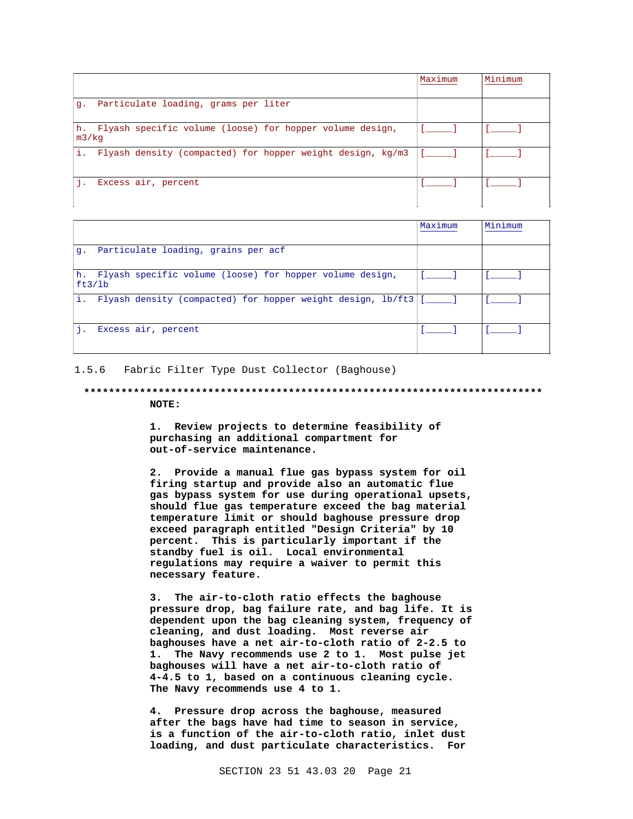|                                                                      | Maximum | <b>Minimum</b> |
|----------------------------------------------------------------------|---------|----------------|
| Particulate loading, grams per liter<br>q.                           |         |                |
| h. Flyash specific volume (loose) for hopper volume design,<br>m3/kq |         |                |
| i.<br>Flyash density (compacted) for hopper weight design, kg/m3     |         |                |
| Excess air, percent<br>i.                                            |         |                |

|             |                                                             | Maximum | Minimum |
|-------------|-------------------------------------------------------------|---------|---------|
| $q_{\star}$ | Particulate loading, grains per acf                         |         |         |
| ft3/lb      | h. Flyash specific volume (loose) for hopper volume design, |         |         |
| i.          | Flyash density (compacted) for hopper weight design, lb/ft3 |         |         |
|             | Excess air, percent                                         |         |         |

### 1.5.6 Fabric Filter Type Dust Collector (Baghouse)

#### **\*\*\*\*\*\*\*\*\*\*\*\*\*\*\*\*\*\*\*\*\*\*\*\*\*\*\*\*\*\*\*\*\*\*\*\*\*\*\*\*\*\*\*\*\*\*\*\*\*\*\*\*\*\*\*\*\*\*\*\*\*\*\*\*\*\*\*\*\*\*\*\*\*\* NOTE:**

**1. Review projects to determine feasibility of purchasing an additional compartment for out-of-service maintenance.**

**2. Provide a manual flue gas bypass system for oil firing startup and provide also an automatic flue gas bypass system for use during operational upsets, should flue gas temperature exceed the bag material temperature limit or should baghouse pressure drop exceed paragraph entitled "Design Criteria" by 10 percent. This is particularly important if the standby fuel is oil. Local environmental regulations may require a waiver to permit this necessary feature.**

**3. The air-to-cloth ratio effects the baghouse pressure drop, bag failure rate, and bag life. It is dependent upon the bag cleaning system, frequency of cleaning, and dust loading. Most reverse air baghouses have a net air-to-cloth ratio of 2-2.5 to 1. The Navy recommends use 2 to 1. Most pulse jet baghouses will have a net air-to-cloth ratio of 4-4.5 to 1, based on a continuous cleaning cycle. The Navy recommends use 4 to 1.**

**4. Pressure drop across the baghouse, measured after the bags have had time to season in service, is a function of the air-to-cloth ratio, inlet dust loading, and dust particulate characteristics. For**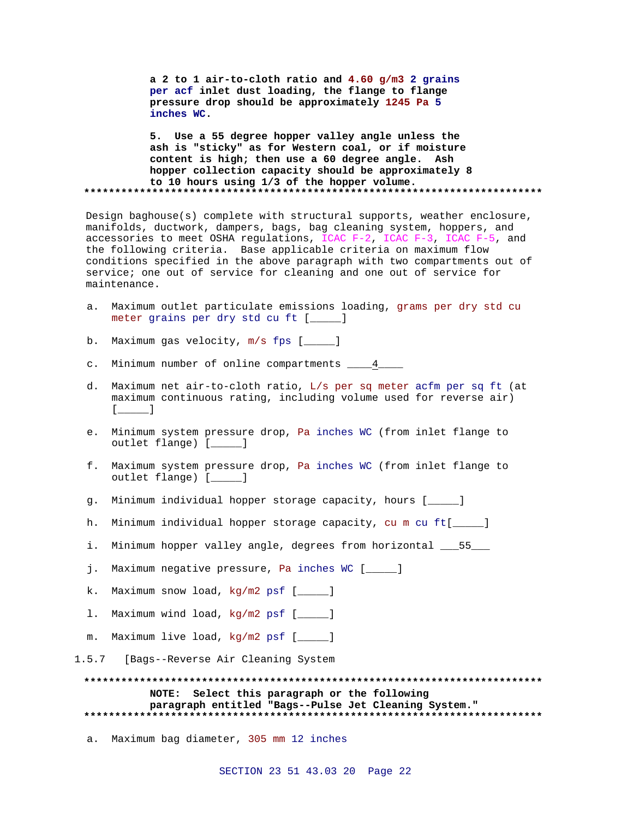**a 2 to 1 air-to-cloth ratio and 4.60 g/m3 2 grains per acf inlet dust loading, the flange to flange pressure drop should be approximately 1245 Pa 5 inches WC.**

**5. Use a 55 degree hopper valley angle unless the ash is "sticky" as for Western coal, or if moisture content is high; then use a 60 degree angle. Ash hopper collection capacity should be approximately 8 to 10 hours using 1/3 of the hopper volume. \*\*\*\*\*\*\*\*\*\*\*\*\*\*\*\*\*\*\*\*\*\*\*\*\*\*\*\*\*\*\*\*\*\*\*\*\*\*\*\*\*\*\*\*\*\*\*\*\*\*\*\*\*\*\*\*\*\*\*\*\*\*\*\*\*\*\*\*\*\*\*\*\*\***

Design baghouse(s) complete with structural supports, weather enclosure, manifolds, ductwork, dampers, bags, bag cleaning system, hoppers, and accessories to meet OSHA regulations, ICAC F-2, ICAC F-3, ICAC F-5, and the following criteria. Base applicable criteria on maximum flow conditions specified in the above paragraph with two compartments out of service; one out of service for cleaning and one out of service for maintenance.

- a. Maximum outlet particulate emissions loading, grams per dry std cu meter grains per dry std cu ft [\_\_\_\_\_]
- b. Maximum gas velocity, m/s fps [\_\_\_\_\_]
- c. Minimum number of online compartments \_\_\_\_4\_\_\_\_
- d. Maximum net air-to-cloth ratio, L/s per sq meter acfm per sq ft (at maximum continuous rating, including volume used for reverse air)  $[\_$  ]
- e. Minimum system pressure drop, Pa inches WC (from inlet flange to outlet flange) [\_\_\_\_\_]
- f. Maximum system pressure drop, Pa inches WC (from inlet flange to outlet flange) [\_\_\_\_\_]
- g. Minimum individual hopper storage capacity, hours [\_\_\_\_\_]
- h. Minimum individual hopper storage capacity, cu m cu ft[\_\_\_\_\_]
- i. Minimum hopper valley angle, degrees from horizontal \_\_\_55\_\_\_
- j. Maximum negative pressure, Pa inches WC [\_\_\_\_\_]
- k. Maximum snow load, kg/m2 psf [\_\_\_\_\_]
- l. Maximum wind load, kg/m2 psf [\_\_\_\_\_]
- m. Maximum live load, kg/m2 psf [\_\_\_\_\_]
- 1.5.7 [Bags--Reverse Air Cleaning System

### **\*\*\*\*\*\*\*\*\*\*\*\*\*\*\*\*\*\*\*\*\*\*\*\*\*\*\*\*\*\*\*\*\*\*\*\*\*\*\*\*\*\*\*\*\*\*\*\*\*\*\*\*\*\*\*\*\*\*\*\*\*\*\*\*\*\*\*\*\*\*\*\*\*\* NOTE: Select this paragraph or the following paragraph entitled "Bags--Pulse Jet Cleaning System." \*\*\*\*\*\*\*\*\*\*\*\*\*\*\*\*\*\*\*\*\*\*\*\*\*\*\*\*\*\*\*\*\*\*\*\*\*\*\*\*\*\*\*\*\*\*\*\*\*\*\*\*\*\*\*\*\*\*\*\*\*\*\*\*\*\*\*\*\*\*\*\*\*\***

a. Maximum bag diameter, 305 mm 12 inches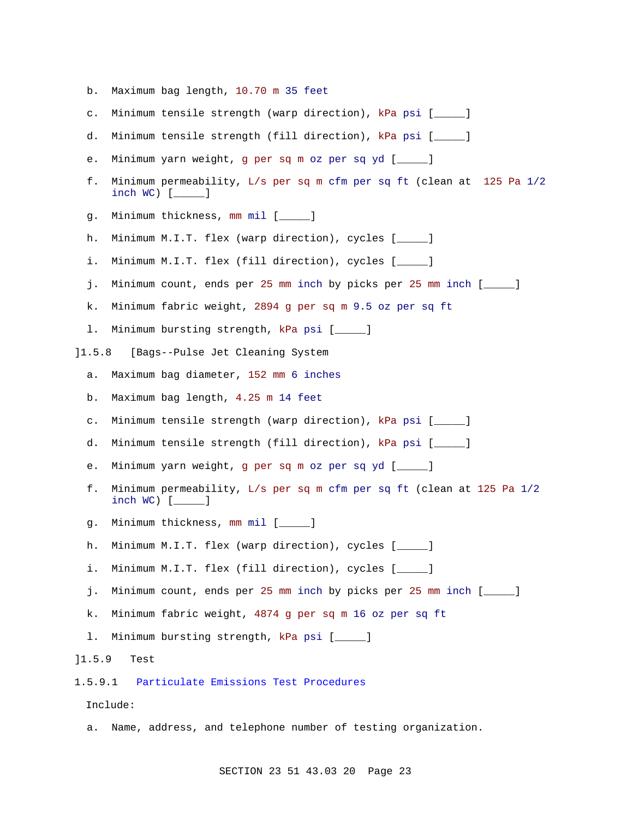- b. Maximum bag length, 10.70 m 35 feet
- c. Minimum tensile strength (warp direction), kPa psi [\_\_\_\_\_]
- d. Minimum tensile strength (fill direction), kPa psi [\_\_\_\_\_]
- e. Minimum yarn weight, g per sq m oz per sq yd [\_\_\_\_\_]
- f. Minimum permeability, L/s per sq m cfm per sq ft (clean at 125 Pa 1/2 inch WC) [\_\_\_\_\_]
- g. Minimum thickness, mm mil [\_\_\_\_\_]
- h. Minimum M.I.T. flex (warp direction), cycles [\_\_\_\_]
- i. Minimum M.I.T. flex (fill direction), cycles [\_\_\_\_\_]
- j. Minimum count, ends per 25 mm inch by picks per 25 mm inch [\_\_\_\_\_]
- k. Minimum fabric weight, 2894 g per sq m 9.5 oz per sq ft
- 1. Minimum bursting strength, kPa psi [\_\_\_\_]
- ]1.5.8 [Bags--Pulse Jet Cleaning System
	- a. Maximum bag diameter, 152 mm 6 inches
	- b. Maximum bag length, 4.25 m 14 feet
	- c. Minimum tensile strength (warp direction), kPa psi [\_\_\_\_\_]
	- d. Minimum tensile strength (fill direction), kPa psi [\_\_\_\_\_]
	- e. Minimum yarn weight, g per sq m oz per sq yd [\_\_\_\_\_]
	- f. Minimum permeability, L/s per sq m cfm per sq ft (clean at 125 Pa 1/2 inch WC) [\_\_\_\_\_]
	- g. Minimum thickness, mm mil [\_\_\_\_\_]
	- h. Minimum M.I.T. flex (warp direction), cycles [\_\_\_\_]
	- i. Minimum M.I.T. flex (fill direction), cycles [\_\_\_\_\_]
	- j. Minimum count, ends per 25 mm inch by picks per 25 mm inch [\_\_\_\_\_]
	- k. Minimum fabric weight, 4874 g per sq m 16 oz per sq ft
	- l. Minimum bursting strength, kPa psi [\_\_\_\_\_]

# ]1.5.9 Test

1.5.9.1 Particulate Emissions Test Procedures

Include:

a. Name, address, and telephone number of testing organization.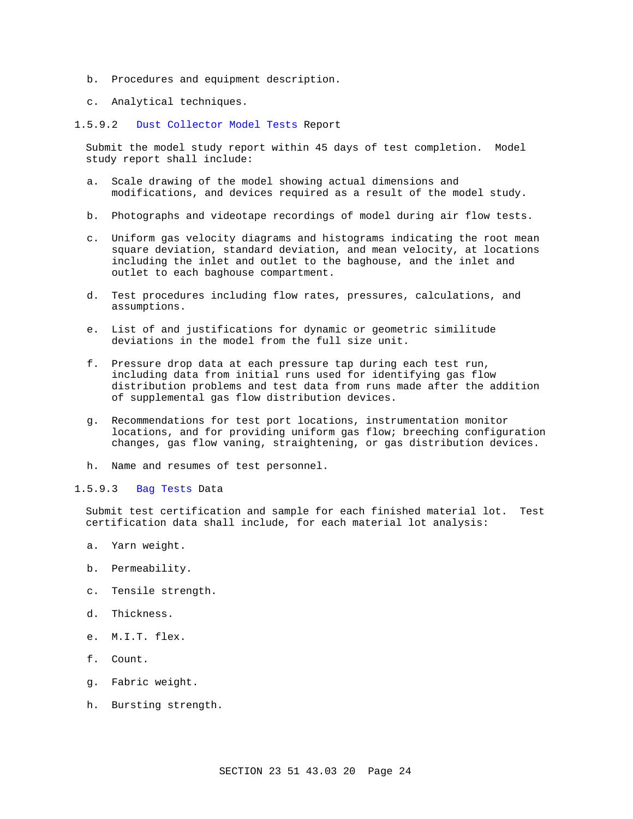- b. Procedures and equipment description.
- c. Analytical techniques.
- 1.5.9.2 Dust Collector Model Tests Report

Submit the model study report within 45 days of test completion. Model study report shall include:

- a. Scale drawing of the model showing actual dimensions and modifications, and devices required as a result of the model study.
- b. Photographs and videotape recordings of model during air flow tests.
- c. Uniform gas velocity diagrams and histograms indicating the root mean square deviation, standard deviation, and mean velocity, at locations including the inlet and outlet to the baghouse, and the inlet and outlet to each baghouse compartment.
- d. Test procedures including flow rates, pressures, calculations, and assumptions.
- e. List of and justifications for dynamic or geometric similitude deviations in the model from the full size unit.
- f. Pressure drop data at each pressure tap during each test run, including data from initial runs used for identifying gas flow distribution problems and test data from runs made after the addition of supplemental gas flow distribution devices.
- g. Recommendations for test port locations, instrumentation monitor locations, and for providing uniform gas flow; breeching configuration changes, gas flow vaning, straightening, or gas distribution devices.
- h. Name and resumes of test personnel.
- 1.5.9.3 Bag Tests Data

Submit test certification and sample for each finished material lot. Test certification data shall include, for each material lot analysis:

- a. Yarn weight.
- b. Permeability.
- c. Tensile strength.
- d. Thickness.
- e. M.I.T. flex.
- f. Count.
- g. Fabric weight.
- h. Bursting strength.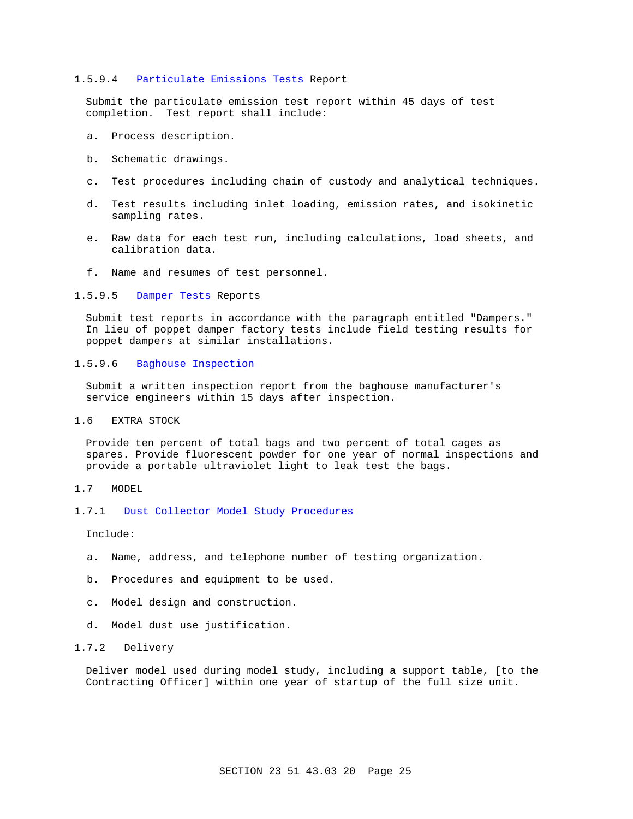#### 1.5.9.4 Particulate Emissions Tests Report

Submit the particulate emission test report within 45 days of test completion. Test report shall include:

- a. Process description.
- b. Schematic drawings.
- c. Test procedures including chain of custody and analytical techniques.
- d. Test results including inlet loading, emission rates, and isokinetic sampling rates.
- e. Raw data for each test run, including calculations, load sheets, and calibration data.
- f. Name and resumes of test personnel.
- 1.5.9.5 Damper Tests Reports

Submit test reports in accordance with the paragraph entitled "Dampers." In lieu of poppet damper factory tests include field testing results for poppet dampers at similar installations.

1.5.9.6 Baghouse Inspection

Submit a written inspection report from the baghouse manufacturer's service engineers within 15 days after inspection.

1.6 EXTRA STOCK

Provide ten percent of total bags and two percent of total cages as spares. Provide fluorescent powder for one year of normal inspections and provide a portable ultraviolet light to leak test the bags.

- 1.7 MODEL
- 1.7.1 Dust Collector Model Study Procedures

Include:

- a. Name, address, and telephone number of testing organization.
- b. Procedures and equipment to be used.
- c. Model design and construction.
- d. Model dust use justification.

# 1.7.2 Delivery

Deliver model used during model study, including a support table, [to the Contracting Officer] within one year of startup of the full size unit.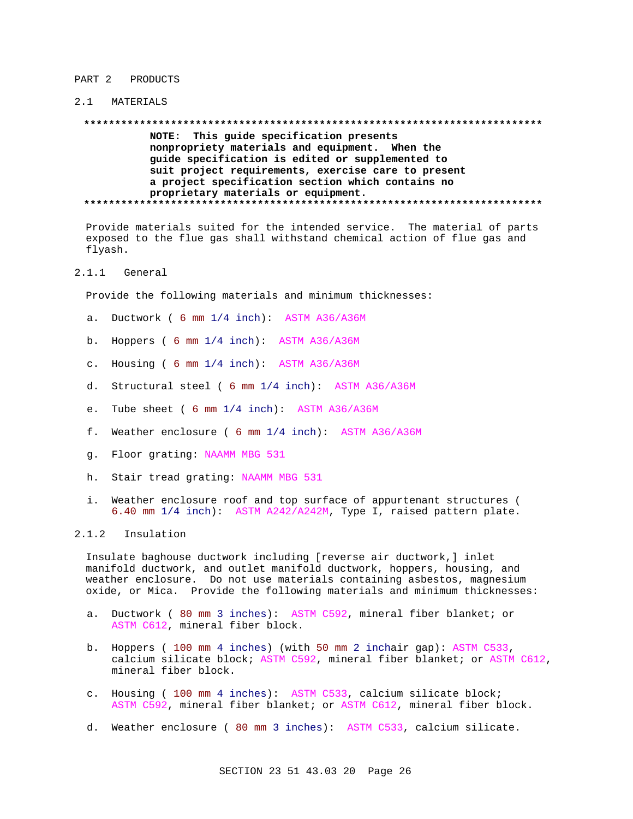#### PART 2 PRODUCTS

#### 2.1 MATERIALS

**\*\*\*\*\*\*\*\*\*\*\*\*\*\*\*\*\*\*\*\*\*\*\*\*\*\*\*\*\*\*\*\*\*\*\*\*\*\*\*\*\*\*\*\*\*\*\*\*\*\*\*\*\*\*\*\*\*\*\*\*\*\*\*\*\*\*\*\*\*\*\*\*\*\***

**NOTE: This guide specification presents nonpropriety materials and equipment. When the guide specification is edited or supplemented to suit project requirements, exercise care to present a project specification section which contains no proprietary materials or equipment. \*\*\*\*\*\*\*\*\*\*\*\*\*\*\*\*\*\*\*\*\*\*\*\*\*\*\*\*\*\*\*\*\*\*\*\*\*\*\*\*\*\*\*\*\*\*\*\*\*\*\*\*\*\*\*\*\*\*\*\*\*\*\*\*\*\*\*\*\*\*\*\*\*\***

Provide materials suited for the intended service. The material of parts exposed to the flue gas shall withstand chemical action of flue gas and flyash.

#### 2.1.1 General

Provide the following materials and minimum thicknesses:

- a. Ductwork ( 6 mm 1/4 inch): ASTM A36/A36M
- b. Hoppers ( 6 mm 1/4 inch): ASTM A36/A36M
- c. Housing ( 6 mm 1/4 inch): ASTM A36/A36M
- d. Structural steel ( 6 mm 1/4 inch): ASTM A36/A36M
- e. Tube sheet ( 6 mm 1/4 inch): ASTM A36/A36M
- f. Weather enclosure ( 6 mm 1/4 inch): ASTM A36/A36M
- g. Floor grating: NAAMM MBG 531
- h. Stair tread grating: NAAMM MBG 531
- i. Weather enclosure roof and top surface of appurtenant structures ( 6.40 mm 1/4 inch): ASTM A242/A242M, Type I, raised pattern plate.

# 2.1.2 Insulation

Insulate baghouse ductwork including [reverse air ductwork,] inlet manifold ductwork, and outlet manifold ductwork, hoppers, housing, and weather enclosure. Do not use materials containing asbestos, magnesium oxide, or Mica. Provide the following materials and minimum thicknesses:

- a. Ductwork ( 80 mm 3 inches): ASTM C592, mineral fiber blanket; or ASTM C612, mineral fiber block.
- b. Hoppers ( 100 mm 4 inches) (with 50 mm 2 inchair gap): ASTM C533, calcium silicate block; ASTM C592, mineral fiber blanket; or ASTM C612, mineral fiber block.
- c. Housing ( 100 mm 4 inches): ASTM C533, calcium silicate block; ASTM C592, mineral fiber blanket; or ASTM C612, mineral fiber block.
- d. Weather enclosure ( 80 mm 3 inches): ASTM C533, calcium silicate.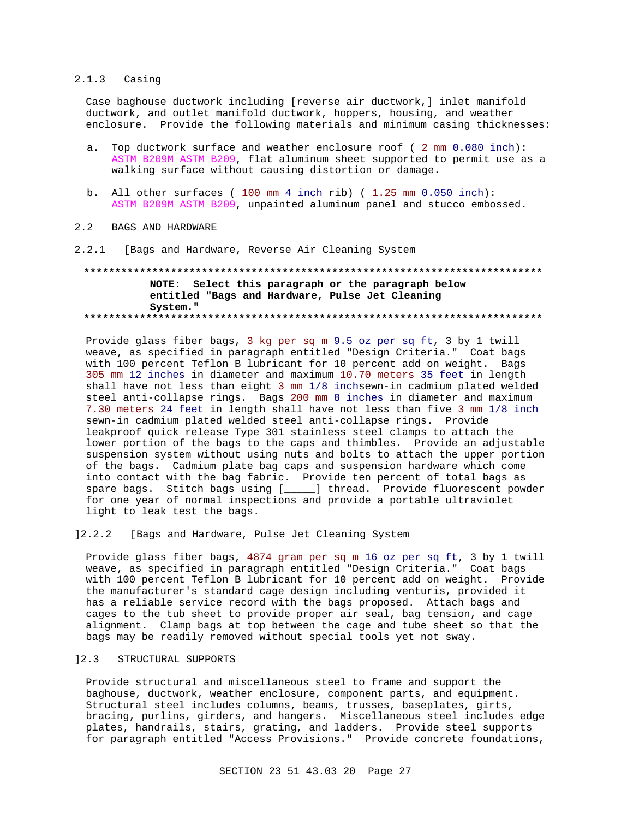### 2.1.3 Casing

Case baghouse ductwork including [reverse air ductwork,] inlet manifold ductwork, and outlet manifold ductwork, hoppers, housing, and weather enclosure. Provide the following materials and minimum casing thicknesses:

- a. Top ductwork surface and weather enclosure roof ( 2 mm 0.080 inch): ASTM B209M ASTM B209, flat aluminum sheet supported to permit use as a walking surface without causing distortion or damage.
- b. All other surfaces ( 100 mm 4 inch rib) ( 1.25 mm 0.050 inch): ASTM B209M ASTM B209, unpainted aluminum panel and stucco embossed.

# 2.2 BAGS AND HARDWARE

2.2.1 [Bags and Hardware, Reverse Air Cleaning System

### **\*\*\*\*\*\*\*\*\*\*\*\*\*\*\*\*\*\*\*\*\*\*\*\*\*\*\*\*\*\*\*\*\*\*\*\*\*\*\*\*\*\*\*\*\*\*\*\*\*\*\*\*\*\*\*\*\*\*\*\*\*\*\*\*\*\*\*\*\*\*\*\*\*\* NOTE: Select this paragraph or the paragraph below entitled "Bags and Hardware, Pulse Jet Cleaning System." \*\*\*\*\*\*\*\*\*\*\*\*\*\*\*\*\*\*\*\*\*\*\*\*\*\*\*\*\*\*\*\*\*\*\*\*\*\*\*\*\*\*\*\*\*\*\*\*\*\*\*\*\*\*\*\*\*\*\*\*\*\*\*\*\*\*\*\*\*\*\*\*\*\***

Provide glass fiber bags, 3 kg per sq m 9.5 oz per sq ft, 3 by 1 twill weave, as specified in paragraph entitled "Design Criteria." Coat bags with 100 percent Teflon B lubricant for 10 percent add on weight. Bags 305 mm 12 inches in diameter and maximum 10.70 meters 35 feet in length shall have not less than eight 3 mm 1/8 inchsewn-in cadmium plated welded steel anti-collapse rings. Bags 200 mm 8 inches in diameter and maximum 7.30 meters 24 feet in length shall have not less than five 3 mm 1/8 inch sewn-in cadmium plated welded steel anti-collapse rings. Provide leakproof quick release Type 301 stainless steel clamps to attach the lower portion of the bags to the caps and thimbles. Provide an adjustable suspension system without using nuts and bolts to attach the upper portion of the bags. Cadmium plate bag caps and suspension hardware which come into contact with the bag fabric. Provide ten percent of total bags as spare bags. Stitch bags using [\_\_\_\_\_] thread. Provide fluorescent powder for one year of normal inspections and provide a portable ultraviolet light to leak test the bags.

]2.2.2 [Bags and Hardware, Pulse Jet Cleaning System

Provide glass fiber bags, 4874 gram per sq m 16 oz per sq ft, 3 by 1 twill weave, as specified in paragraph entitled "Design Criteria." Coat bags with 100 percent Teflon B lubricant for 10 percent add on weight. Provide the manufacturer's standard cage design including venturis, provided it has a reliable service record with the bags proposed. Attach bags and cages to the tub sheet to provide proper air seal, bag tension, and cage alignment. Clamp bags at top between the cage and tube sheet so that the bags may be readily removed without special tools yet not sway.

# ]2.3 STRUCTURAL SUPPORTS

Provide structural and miscellaneous steel to frame and support the baghouse, ductwork, weather enclosure, component parts, and equipment. Structural steel includes columns, beams, trusses, baseplates, girts, bracing, purlins, girders, and hangers. Miscellaneous steel includes edge plates, handrails, stairs, grating, and ladders. Provide steel supports for paragraph entitled "Access Provisions." Provide concrete foundations,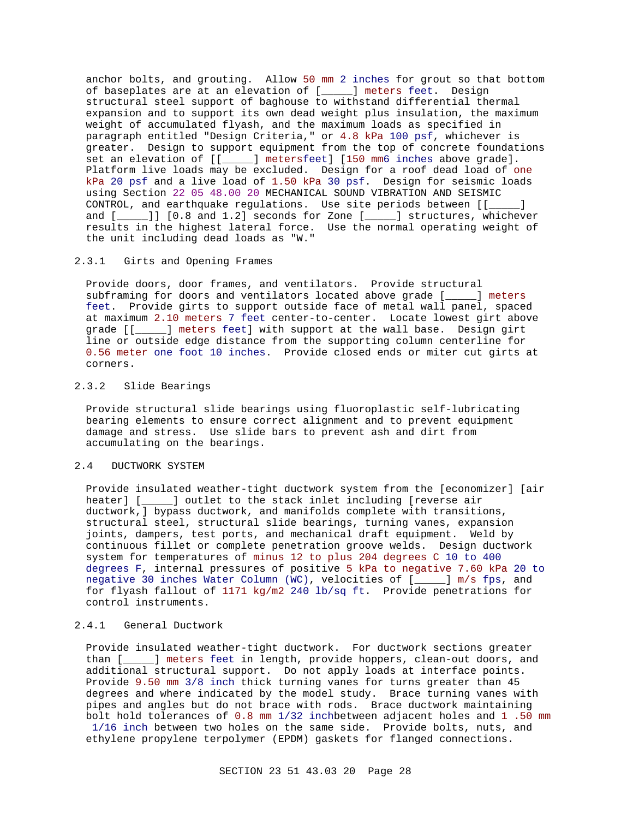anchor bolts, and grouting. Allow 50 mm 2 inches for grout so that bottom of baseplates are at an elevation of [\_\_\_\_\_] meters feet. Design structural steel support of baghouse to withstand differential thermal expansion and to support its own dead weight plus insulation, the maximum weight of accumulated flyash, and the maximum loads as specified in paragraph entitled "Design Criteria," or 4.8 kPa 100 psf, whichever is greater. Design to support equipment from the top of concrete foundations set an elevation of [[\_\_\_\_\_] metersfeet] [150 mm6 inches above grade]. Platform live loads may be excluded. Design for a roof dead load of one kPa 20 psf and a live load of 1.50 kPa 30 psf. Design for seismic loads using Section 22 05 48.00 20 MECHANICAL SOUND VIBRATION AND SEISMIC CONTROL, and earthquake regulations. Use site periods between [[\_\_\_\_\_] and  $[\_\_]$  [0.8 and 1.2] seconds for Zone [ $\_\_$ ] structures, whichever results in the highest lateral force. Use the normal operating weight of the unit including dead loads as "W."

#### 2.3.1 Girts and Opening Frames

Provide doors, door frames, and ventilators. Provide structural subframing for doors and ventilators located above grade [\_\_\_\_\_] meters feet. Provide girts to support outside face of metal wall panel, spaced at maximum 2.10 meters 7 feet center-to-center. Locate lowest girt above grade [[\_\_\_\_\_] meters feet] with support at the wall base. Design girt line or outside edge distance from the supporting column centerline for 0.56 meter one foot 10 inches. Provide closed ends or miter cut girts at corners.

#### 2.3.2 Slide Bearings

Provide structural slide bearings using fluoroplastic self-lubricating bearing elements to ensure correct alignment and to prevent equipment damage and stress. Use slide bars to prevent ash and dirt from accumulating on the bearings.

#### 2.4 DUCTWORK SYSTEM

Provide insulated weather-tight ductwork system from the [economizer] [air heater] [\_\_\_\_\_] outlet to the stack inlet including [reverse air ductwork,] bypass ductwork, and manifolds complete with transitions, structural steel, structural slide bearings, turning vanes, expansion joints, dampers, test ports, and mechanical draft equipment. Weld by continuous fillet or complete penetration groove welds. Design ductwork system for temperatures of minus 12 to plus 204 degrees C 10 to 400 degrees F, internal pressures of positive 5 kPa to negative 7.60 kPa 20 to negative 30 inches Water Column (WC), velocities of [\_\_\_\_\_] m/s fps, and for flyash fallout of 1171 kg/m2 240 lb/sq ft. Provide penetrations for control instruments.

### 2.4.1 General Ductwork

Provide insulated weather-tight ductwork. For ductwork sections greater than [\_\_\_\_\_] meters feet in length, provide hoppers, clean-out doors, and additional structural support. Do not apply loads at interface points. Provide 9.50 mm 3/8 inch thick turning vanes for turns greater than 45 degrees and where indicated by the model study. Brace turning vanes with pipes and angles but do not brace with rods. Brace ductwork maintaining bolt hold tolerances of 0.8 mm 1/32 inchbetween adjacent holes and 1 .50 mm 1/16 inch between two holes on the same side. Provide bolts, nuts, and ethylene propylene terpolymer (EPDM) gaskets for flanged connections.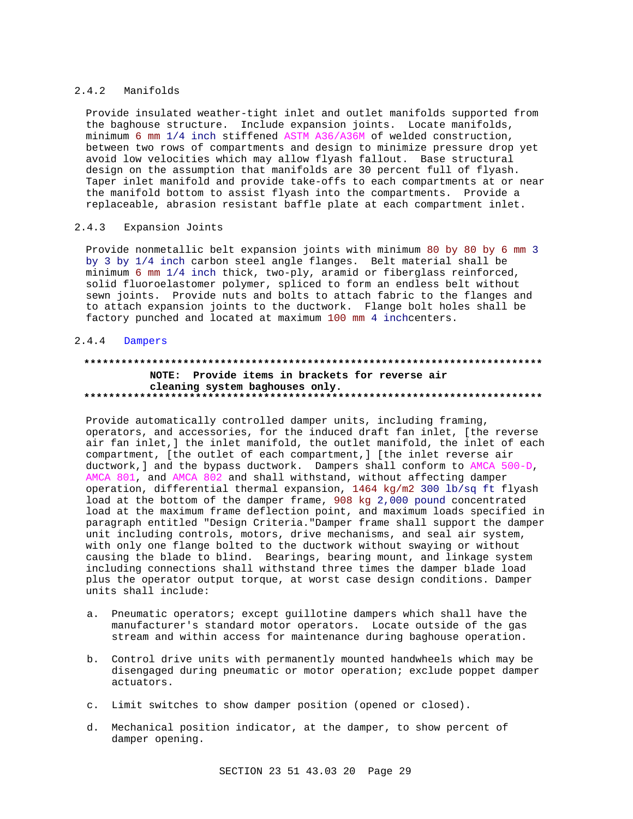#### $2.4.2$ Manifolds

Provide insulated weather-tight inlet and outlet manifolds supported from the baghouse structure. Include expansion joints. Locate manifolds, minimum 6 mm 1/4 inch stiffened ASTM A36/A36M of welded construction, between two rows of compartments and design to minimize pressure drop yet avoid low velocities which may allow flyash fallout. Base structural design on the assumption that manifolds are 30 percent full of flyash. Taper inlet manifold and provide take-offs to each compartments at or near the manifold bottom to assist flyash into the compartments. Provide a replaceable, abrasion resistant baffle plate at each compartment inlet.

#### $2.4.3$ Expansion Joints

Provide nonmetallic belt expansion joints with minimum 80 by 80 by 6 mm 3 by 3 by 1/4 inch carbon steel angle flanges. Belt material shall be minimum 6 mm 1/4 inch thick, two-ply, aramid or fiberglass reinforced, solid fluoroelastomer polymer, spliced to form an endless belt without sewn joints. Provide nuts and bolts to attach fabric to the flanges and to attach expansion joints to the ductwork. Flange bolt holes shall be factory punched and located at maximum 100 mm 4 inchcenters.

#### $2.4.4$ Dampers

# NOTE: Provide items in brackets for reverse air cleaning system baghouses only.

Provide automatically controlled damper units, including framing, operators, and accessories, for the induced draft fan inlet, [the reverse air fan inlet, ] the inlet manifold, the outlet manifold, the inlet of each compartment, [the outlet of each compartment,] [the inlet reverse air ductwork, ] and the bypass ductwork. Dampers shall conform to AMCA 500-D, AMCA 801, and AMCA 802 and shall withstand, without affecting damper operation, differential thermal expansion, 1464 kg/m2 300 lb/sq ft flyash load at the bottom of the damper frame, 908 kg 2,000 pound concentrated load at the maximum frame deflection point, and maximum loads specified in paragraph entitled "Design Criteria. "Damper frame shall support the damper unit including controls, motors, drive mechanisms, and seal air system, with only one flange bolted to the ductwork without swaying or without causing the blade to blind. Bearings, bearing mount, and linkage system including connections shall withstand three times the damper blade load plus the operator output torque, at worst case design conditions. Damper units shall include:

- a. Pneumatic operators; except guillotine dampers which shall have the manufacturer's standard motor operators. Locate outside of the gas stream and within access for maintenance during baghouse operation.
- b. Control drive units with permanently mounted handwheels which may be disengaged during pneumatic or motor operation; exclude poppet damper actuators.
- c. Limit switches to show damper position (opened or closed).
- d. Mechanical position indicator, at the damper, to show percent of damper opening.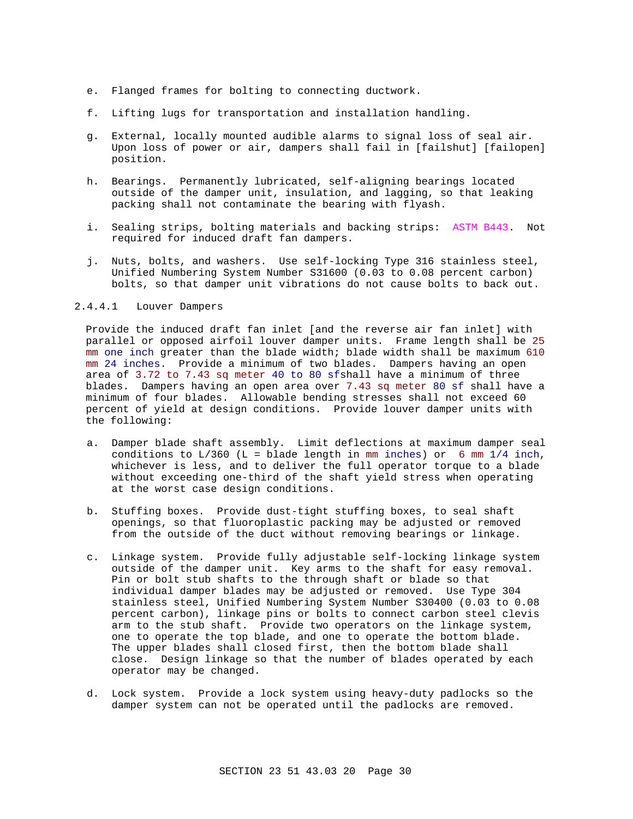- e. Flanged frames for bolting to connecting ductwork.
- f. Lifting lugs for transportation and installation handling.
- g. External, locally mounted audible alarms to signal loss of seal air. Upon loss of power or air, dampers shall fail in [failshut] [failopen] position.
- h. Bearings. Permanently lubricated, self-aligning bearings located outside of the damper unit, insulation, and lagging, so that leaking packing shall not contaminate the bearing with flyash.
- i. Sealing strips, bolting materials and backing strips: ASTM B443. Not required for induced draft fan dampers.
- j. Nuts, bolts, and washers. Use self-locking Type 316 stainless steel, Unified Numbering System Number S31600 (0.03 to 0.08 percent carbon) bolts, so that damper unit vibrations do not cause bolts to back out.

### 2.4.4.1 Louver Dampers

Provide the induced draft fan inlet [and the reverse air fan inlet] with parallel or opposed airfoil louver damper units. Frame length shall be 25 mm one inch greater than the blade width; blade width shall be maximum 610 mm 24 inches. Provide a minimum of two blades. Dampers having an open area of 3.72 to 7.43 sq meter 40 to 80 sfshall have a minimum of three blades. Dampers having an open area over 7.43 sq meter 80 sf shall have a minimum of four blades. Allowable bending stresses shall not exceed 60 percent of yield at design conditions. Provide louver damper units with the following:

- a. Damper blade shaft assembly. Limit deflections at maximum damper seal conditions to  $L/360$  (L = blade length in mm inches) or 6 mm  $1/4$  inch, whichever is less, and to deliver the full operator torque to a blade without exceeding one-third of the shaft yield stress when operating at the worst case design conditions.
- b. Stuffing boxes. Provide dust-tight stuffing boxes, to seal shaft openings, so that fluoroplastic packing may be adjusted or removed from the outside of the duct without removing bearings or linkage.
- c. Linkage system. Provide fully adjustable self-locking linkage system outside of the damper unit. Key arms to the shaft for easy removal. Pin or bolt stub shafts to the through shaft or blade so that individual damper blades may be adjusted or removed. Use Type 304 stainless steel, Unified Numbering System Number S30400 (0.03 to 0.08 percent carbon), linkage pins or bolts to connect carbon steel clevis arm to the stub shaft. Provide two operators on the linkage system, one to operate the top blade, and one to operate the bottom blade. The upper blades shall closed first, then the bottom blade shall close. Design linkage so that the number of blades operated by each operator may be changed.
- d. Lock system. Provide a lock system using heavy-duty padlocks so the damper system can not be operated until the padlocks are removed.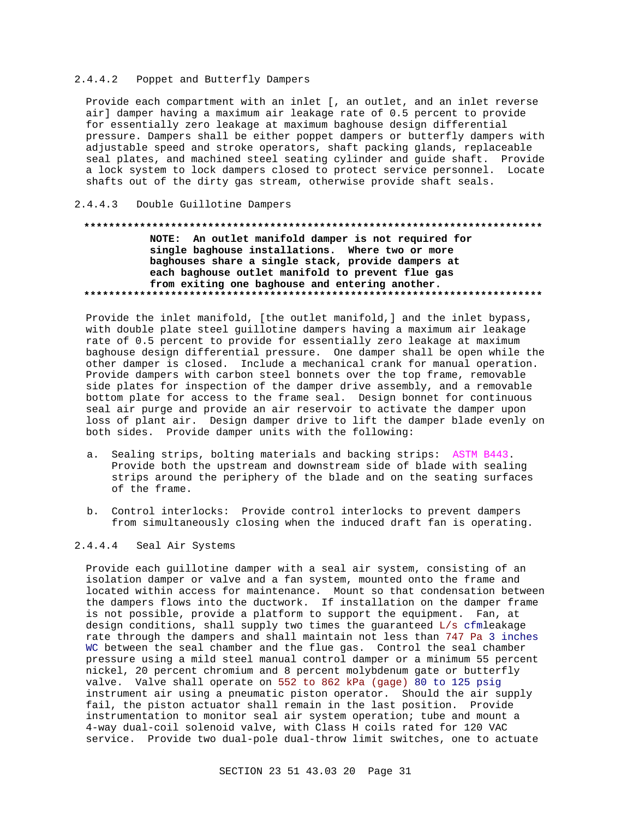#### $2.4.4.2$ Poppet and Butterfly Dampers

Provide each compartment with an inlet [, an outlet, and an inlet reverse air] damper having a maximum air leakage rate of 0.5 percent to provide for essentially zero leakage at maximum baghouse design differential pressure. Dampers shall be either poppet dampers or butterfly dampers with adjustable speed and stroke operators, shaft packing glands, replaceable seal plates, and machined steel seating cylinder and guide shaft. Provide a lock system to lock dampers closed to protect service personnel. Locate shafts out of the dirty gas stream, otherwise provide shaft seals.

#### 2.4.4.3 Double Guillotine Dampers

# NOTE: An outlet manifold damper is not required for single baghouse installations. Where two or more<br>baghouses share a single stack, provide dampers at each baghouse outlet manifold to prevent flue gas from exiting one baghouse and entering another.

Provide the inlet manifold, [the outlet manifold,] and the inlet bypass, with double plate steel guillotine dampers having a maximum air leakage rate of 0.5 percent to provide for essentially zero leakage at maximum baghouse design differential pressure. One damper shall be open while the other damper is closed. Include a mechanical crank for manual operation. Provide dampers with carbon steel bonnets over the top frame, removable side plates for inspection of the damper drive assembly, and a removable bottom plate for access to the frame seal. Design bonnet for continuous<br>seal air purge and provide an air reservoir to activate the damper upon loss of plant air. Design damper drive to lift the damper blade evenly on both sides. Provide damper units with the following:

- a. Sealing strips, bolting materials and backing strips: ASTM B443. Provide both the upstream and downstream side of blade with sealing strips around the periphery of the blade and on the seating surfaces of the frame.
- b. Control interlocks: Provide control interlocks to prevent dampers from simultaneously closing when the induced draft fan is operating.

#### $2.4.4.4$ Seal Air Systems

Provide each guillotine damper with a seal air system, consisting of an isolation damper or valve and a fan system, mounted onto the frame and located within access for maintenance. Mount so that condensation between the dampers flows into the ductwork. If installation on the damper frame is not possible, provide a platform to support the equipment. Fan, at design conditions, shall supply two times the guaranteed L/s cfmleakage rate through the dampers and shall maintain not less than 747 Pa 3 inches WC between the seal chamber and the flue gas. Control the seal chamber pressure using a mild steel manual control damper or a minimum 55 percent nickel, 20 percent chromium and 8 percent molybdenum gate or butterfly valve. Valve shall operate on 552 to 862 kPa (gage) 80 to 125 psig instrument air using a pneumatic piston operator. Should the air supply fail, the piston actuator shall remain in the last position. Provide instrumentation to monitor seal air system operation; tube and mount a 4-way dual-coil solenoid valve, with Class H coils rated for 120 VAC service. Provide two dual-pole dual-throw limit switches, one to actuate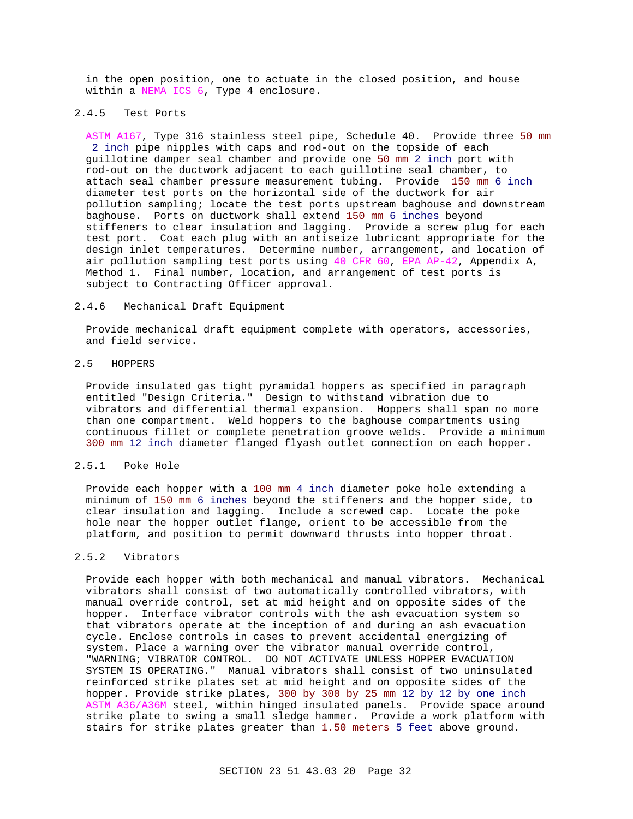in the open position, one to actuate in the closed position, and house within a NEMA ICS 6, Type 4 enclosure.

#### 2.4.5 Test Ports

ASTM A167, Type 316 stainless steel pipe, Schedule 40. Provide three 50 mm 2 inch pipe nipples with caps and rod-out on the topside of each guillotine damper seal chamber and provide one 50 mm 2 inch port with rod-out on the ductwork adjacent to each guillotine seal chamber, to attach seal chamber pressure measurement tubing. Provide 150 mm 6 inch diameter test ports on the horizontal side of the ductwork for air pollution sampling; locate the test ports upstream baghouse and downstream baghouse. Ports on ductwork shall extend 150 mm 6 inches beyond stiffeners to clear insulation and lagging. Provide a screw plug for each test port. Coat each plug with an antiseize lubricant appropriate for the design inlet temperatures. Determine number, arrangement, and location of air pollution sampling test ports using 40 CFR 60, EPA AP-42, Appendix A, Method 1. Final number, location, and arrangement of test ports is subject to Contracting Officer approval.

#### 2.4.6 Mechanical Draft Equipment

Provide mechanical draft equipment complete with operators, accessories, and field service.

#### 2.5 HOPPERS

Provide insulated gas tight pyramidal hoppers as specified in paragraph entitled "Design Criteria." Design to withstand vibration due to vibrators and differential thermal expansion. Hoppers shall span no more than one compartment. Weld hoppers to the baghouse compartments using continuous fillet or complete penetration groove welds. Provide a minimum 300 mm 12 inch diameter flanged flyash outlet connection on each hopper.

### 2.5.1 Poke Hole

Provide each hopper with a 100 mm 4 inch diameter poke hole extending a minimum of 150 mm 6 inches beyond the stiffeners and the hopper side, to clear insulation and lagging. Include a screwed cap. Locate the poke hole near the hopper outlet flange, orient to be accessible from the platform, and position to permit downward thrusts into hopper throat.

### 2.5.2 Vibrators

Provide each hopper with both mechanical and manual vibrators. Mechanical vibrators shall consist of two automatically controlled vibrators, with manual override control, set at mid height and on opposite sides of the hopper. Interface vibrator controls with the ash evacuation system so that vibrators operate at the inception of and during an ash evacuation cycle. Enclose controls in cases to prevent accidental energizing of system. Place a warning over the vibrator manual override control, "WARNING; VIBRATOR CONTROL. DO NOT ACTIVATE UNLESS HOPPER EVACUATION SYSTEM IS OPERATING." Manual vibrators shall consist of two uninsulated reinforced strike plates set at mid height and on opposite sides of the hopper. Provide strike plates, 300 by 300 by 25 mm 12 by 12 by one inch ASTM A36/A36M steel, within hinged insulated panels. Provide space around strike plate to swing a small sledge hammer. Provide a work platform with stairs for strike plates greater than 1.50 meters 5 feet above ground.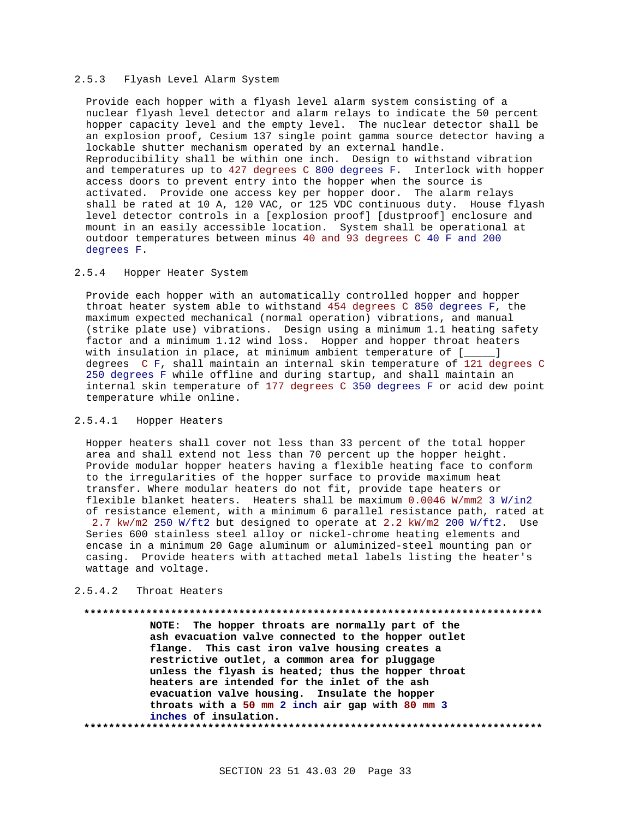### 2.5.3 Flyash Level Alarm System

Provide each hopper with a flyash level alarm system consisting of a nuclear flyash level detector and alarm relays to indicate the 50 percent hopper capacity level and the empty level. The nuclear detector shall be an explosion proof, Cesium 137 single point gamma source detector having a lockable shutter mechanism operated by an external handle. Reproducibility shall be within one inch. Design to withstand vibration and temperatures up to 427 degrees C 800 degrees F. Interlock with hopper access doors to prevent entry into the hopper when the source is activated. Provide one access key per hopper door. The alarm relays shall be rated at 10 A, 120 VAC, or 125 VDC continuous duty. House flyash level detector controls in a [explosion proof] [dustproof] enclosure and mount in an easily accessible location. System shall be operational at outdoor temperatures between minus 40 and 93 degrees C 40 F and 200 degrees F.

#### 2.5.4 Hopper Heater System

Provide each hopper with an automatically controlled hopper and hopper throat heater system able to withstand 454 degrees C 850 degrees F, the maximum expected mechanical (normal operation) vibrations, and manual (strike plate use) vibrations. Design using a minimum 1.1 heating safety factor and a minimum 1.12 wind loss. Hopper and hopper throat heaters with insulation in place, at minimum ambient temperature of [\_\_\_\_] degrees C F, shall maintain an internal skin temperature of 121 degrees C 250 degrees F while offline and during startup, and shall maintain an internal skin temperature of 177 degrees C 350 degrees F or acid dew point temperature while online.

### 2.5.4.1 Hopper Heaters

Hopper heaters shall cover not less than 33 percent of the total hopper area and shall extend not less than 70 percent up the hopper height. Provide modular hopper heaters having a flexible heating face to conform to the irregularities of the hopper surface to provide maximum heat transfer. Where modular heaters do not fit, provide tape heaters or flexible blanket heaters. Heaters shall be maximum 0.0046 W/mm2 3 W/in2 of resistance element, with a minimum 6 parallel resistance path, rated at 2.7 kw/m2 250 W/ft2 but designed to operate at 2.2 kW/m2 200 W/ft2. Use Series 600 stainless steel alloy or nickel-chrome heating elements and encase in a minimum 20 Gage aluminum or aluminized-steel mounting pan or casing. Provide heaters with attached metal labels listing the heater's wattage and voltage.

2.5.4.2 Throat Heaters

#### **\*\*\*\*\*\*\*\*\*\*\*\*\*\*\*\*\*\*\*\*\*\*\*\*\*\*\*\*\*\*\*\*\*\*\*\*\*\*\*\*\*\*\*\*\*\*\*\*\*\*\*\*\*\*\*\*\*\*\*\*\*\*\*\*\*\*\*\*\*\*\*\*\*\***

**NOTE: The hopper throats are normally part of the ash evacuation valve connected to the hopper outlet flange. This cast iron valve housing creates a restrictive outlet, a common area for pluggage unless the flyash is heated; thus the hopper throat heaters are intended for the inlet of the ash evacuation valve housing. Insulate the hopper throats with a 50 mm 2 inch air gap with 80 mm 3 inches of insulation. \*\*\*\*\*\*\*\*\*\*\*\*\*\*\*\*\*\*\*\*\*\*\*\*\*\*\*\*\*\*\*\*\*\*\*\*\*\*\*\*\*\*\*\*\*\*\*\*\*\*\*\*\*\*\*\*\*\*\*\*\*\*\*\*\*\*\*\*\*\*\*\*\*\***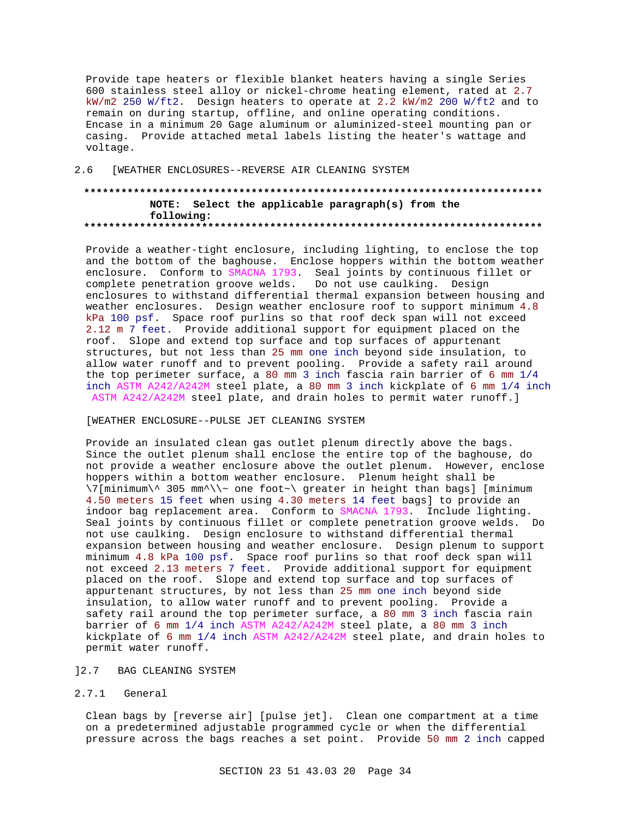Provide tape heaters or flexible blanket heaters having a single Series 600 stainless steel alloy or nickel-chrome heating element, rated at 2.7 kW/m2 250 W/ft2. Design heaters to operate at 2.2 kW/m2 200 W/ft2 and to remain on during startup, offline, and online operating conditions. Encase in a minimum 20 Gage aluminum or aluminized-steel mounting pan or casing. Provide attached metal labels listing the heater's wattage and voltage.

#### $2.6$ [WEATHER ENCLOSURES--REVERSE AIR CLEANING SYSTEM

### NOTE: Select the applicable paragraph(s) from the following:

Provide a weather-tight enclosure, including lighting, to enclose the top and the bottom of the baghouse. Enclose hoppers within the bottom weather enclosure. Conform to SMACNA 1793. Seal joints by continuous fillet or complete penetration groove welds. Do not use caulking. Design enclosures to withstand differential thermal expansion between housing and weather enclosures. Design weather enclosure roof to support minimum 4.8 kPa 100 psf. Space roof purlins so that roof deck span will not exceed 2.12 m 7 feet. Provide additional support for equipment placed on the roof. Slope and extend top surface and top surfaces of appurtenant structures, but not less than 25 mm one inch beyond side insulation, to allow water runoff and to prevent pooling. Provide a safety rail around the top perimeter surface, a 80 mm 3 inch fascia rain barrier of 6 mm 1/4 inch ASTM A242/A242M steel plate, a 80 mm 3 inch kickplate of 6 mm 1/4 inch ASTM A242/A242M steel plate, and drain holes to permit water runoff.]

[WEATHER ENCLOSURE--PULSE JET CLEANING SYSTEM

Provide an insulated clean gas outlet plenum directly above the bags. Since the outlet plenum shall enclose the entire top of the baghouse, do not provide a weather enclosure above the outlet plenum. However, enclose hoppers within a bottom weather enclosure. Plenum height shall be \7[minimum\^ 305 mm^\\~ one foot~\ greater in height than bags] [minimum 4.50 meters 15 feet when using 4.30 meters 14 feet bags] to provide an indoor bag replacement area. Conform to SMACNA 1793. Include lighting. Seal joints by continuous fillet or complete penetration groove welds. Do not use caulking. Design enclosure to withstand differential thermal expansion between housing and weather enclosure. Design plenum to support minimum 4.8 kPa 100 psf. Space roof purlins so that roof deck span will not exceed 2.13 meters 7 feet. Provide additional support for equipment placed on the roof. Slope and extend top surface and top surfaces of appurtenant structures, by not less than 25 mm one inch beyond side insulation, to allow water runoff and to prevent pooling. Provide a safety rail around the top perimeter surface, a 80 mm 3 inch fascia rain barrier of 6 mm 1/4 inch ASTM A242/A242M steel plate, a 80 mm 3 inch kickplate of 6 mm 1/4 inch ASTM A242/A242M steel plate, and drain holes to permit water runoff.

#### $]2.7$ BAG CLEANING SYSTEM

#### $2.7.1$ General

Clean bags by [reverse air] [pulse jet]. Clean one compartment at a time on a predetermined adjustable programmed cycle or when the differential pressure across the bags reaches a set point. Provide 50 mm 2 inch capped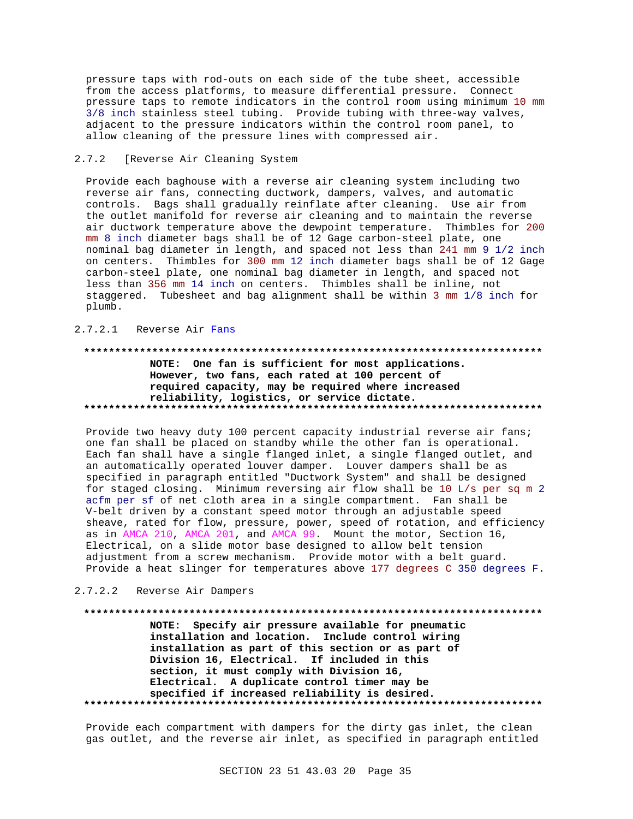pressure taps with rod-outs on each side of the tube sheet, accessible from the access platforms, to measure differential pressure. Connect pressure taps to remote indicators in the control room using minimum 10 mm 3/8 inch stainless steel tubing. Provide tubing with three-way valves, adjacent to the pressure indicators within the control room panel, to allow cleaning of the pressure lines with compressed air.

#### $2.7.2$ [Reverse Air Cleaning System

Provide each baghouse with a reverse air cleaning system including two reverse air fans, connecting ductwork, dampers, valves, and automatic controls. Bags shall gradually reinflate after cleaning. Use air from the outlet manifold for reverse air cleaning and to maintain the reverse air ductwork temperature above the dewpoint temperature. Thimbles for 200 mm 8 inch diameter bags shall be of 12 Gage carbon-steel plate, one nominal bag diameter in length, and spaced not less than 241 mm 9 1/2 inch on centers. Thimbles for 300 mm 12 inch diameter bags shall be of 12 Gage carbon-steel plate, one nominal bag diameter in length, and spaced not less than 356 mm 14 inch on centers. Thimbles shall be inline, not staggered. Tubesheet and bag alignment shall be within 3 mm 1/8 inch for plumb.

#### $2.7.2.1$ Reverse Air Fans

# NOTE: One fan is sufficient for most applications. However, two fans, each rated at 100 percent of required capacity, may be required where increased reliability, logistics, or service dictate.

Provide two heavy duty 100 percent capacity industrial reverse air fans; one fan shall be placed on standby while the other fan is operational. Each fan shall have a single flanged inlet, a single flanged outlet, and an automatically operated louver damper. Louver dampers shall be as specified in paragraph entitled "Ductwork System" and shall be designed for staged closing. Minimum reversing air flow shall be 10 L/s per sq m 2 acfm per sf of net cloth area in a single compartment. Fan shall be V-belt driven by a constant speed motor through an adjustable speed sheave, rated for flow, pressure, power, speed of rotation, and efficiency as in AMCA 210, AMCA 201, and AMCA 99. Mount the motor, Section 16, Electrical, on a slide motor base designed to allow belt tension adjustment from a screw mechanism. Provide motor with a belt guard. Provide a heat slinger for temperatures above 177 degrees C 350 degrees F.

 $2.7.2.2$ Reverse Air Dampers

# NOTE: Specify air pressure available for pneumatic installation and location. Include control wiring installation as part of this section or as part of Division 16, Electrical. If included in this section, it must comply with Division 16, Electrical. A duplicate control timer may be specified if increased reliability is desired.

Provide each compartment with dampers for the dirty gas inlet, the clean gas outlet, and the reverse air inlet, as specified in paragraph entitled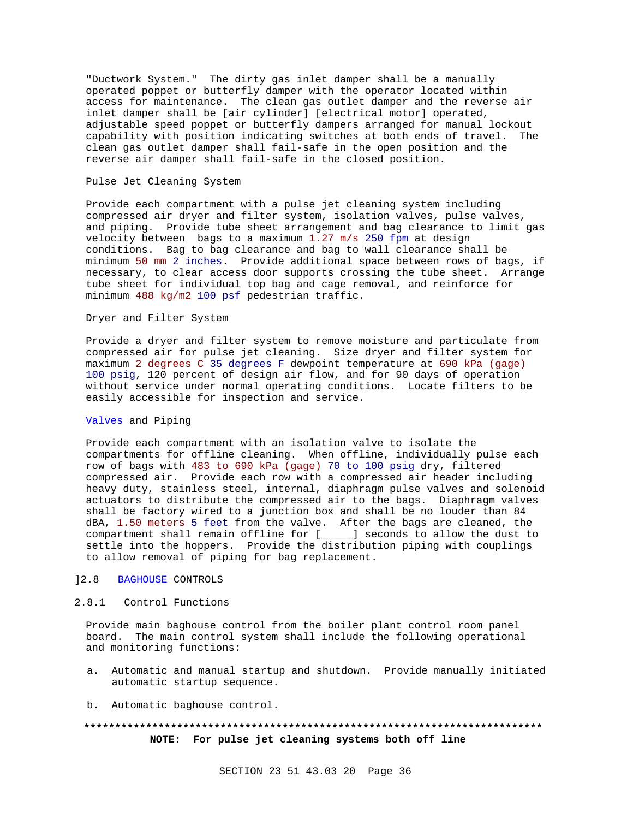"Ductwork System." The dirty gas inlet damper shall be a manually operated poppet or butterfly damper with the operator located within access for maintenance. The clean gas outlet damper and the reverse air inlet damper shall be [air cylinder] [electrical motor] operated, adjustable speed poppet or butterfly dampers arranged for manual lockout capability with position indicating switches at both ends of travel. The clean gas outlet damper shall fail-safe in the open position and the reverse air damper shall fail-safe in the closed position.

### Pulse Jet Cleaning System

Provide each compartment with a pulse jet cleaning system including compressed air dryer and filter system, isolation valves, pulse valves, and piping. Provide tube sheet arrangement and bag clearance to limit gas velocity between bags to a maximum 1.27 m/s 250 fpm at design conditions. Bag to bag clearance and bag to wall clearance shall be minimum 50 mm 2 inches. Provide additional space between rows of bags, if necessary, to clear access door supports crossing the tube sheet. Arrange tube sheet for individual top bag and cage removal, and reinforce for minimum 488 kg/m2 100 psf pedestrian traffic.

### Dryer and Filter System

Provide a dryer and filter system to remove moisture and particulate from compressed air for pulse jet cleaning. Size dryer and filter system for maximum 2 degrees C 35 degrees F dewpoint temperature at 690 kPa (gage) 100 psig, 120 percent of design air flow, and for 90 days of operation without service under normal operating conditions. Locate filters to be easily accessible for inspection and service.

### Valves and Piping

Provide each compartment with an isolation valve to isolate the compartments for offline cleaning. When offline, individually pulse each row of bags with 483 to 690 kPa (gage) 70 to 100 psig dry, filtered compressed air. Provide each row with a compressed air header including heavy duty, stainless steel, internal, diaphragm pulse valves and solenoid actuators to distribute the compressed air to the bags. Diaphragm valves shall be factory wired to a junction box and shall be no louder than 84 dBA, 1.50 meters 5 feet from the valve. After the bags are cleaned, the compartment shall remain offline for [\_\_\_\_\_] seconds to allow the dust to settle into the hoppers. Provide the distribution piping with couplings to allow removal of piping for bag replacement.

#### ]2.8 BAGHOUSE CONTROLS

#### 2.8.1 Control Functions

Provide main baghouse control from the boiler plant control room panel board. The main control system shall include the following operational and monitoring functions:

- a. Automatic and manual startup and shutdown. Provide manually initiated automatic startup sequence.
- b. Automatic baghouse control.

# **\*\*\*\*\*\*\*\*\*\*\*\*\*\*\*\*\*\*\*\*\*\*\*\*\*\*\*\*\*\*\*\*\*\*\*\*\*\*\*\*\*\*\*\*\*\*\*\*\*\*\*\*\*\*\*\*\*\*\*\*\*\*\*\*\*\*\*\*\*\*\*\*\*\* NOTE: For pulse jet cleaning systems both off line**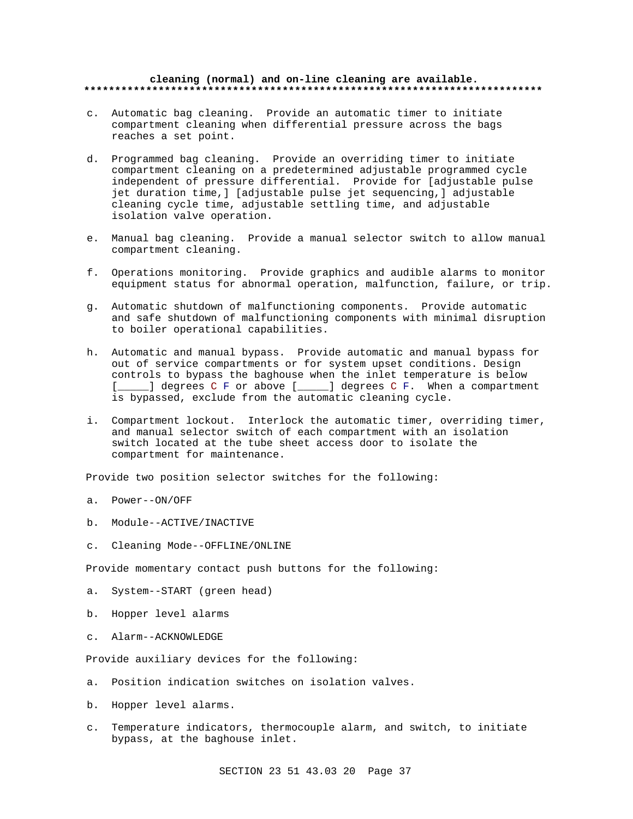#### **cleaning (normal) and on-line cleaning are available. \*\*\*\*\*\*\*\*\*\*\*\*\*\*\*\*\*\*\*\*\*\*\*\*\*\*\*\*\*\*\*\*\*\*\*\*\*\*\*\*\*\*\*\*\*\*\*\*\*\*\*\*\*\*\*\*\*\*\*\*\*\*\*\*\*\*\*\*\*\*\*\*\*\***

- c. Automatic bag cleaning. Provide an automatic timer to initiate compartment cleaning when differential pressure across the bags reaches a set point.
- d. Programmed bag cleaning. Provide an overriding timer to initiate compartment cleaning on a predetermined adjustable programmed cycle independent of pressure differential. Provide for [adjustable pulse jet duration time,] [adjustable pulse jet sequencing,] adjustable cleaning cycle time, adjustable settling time, and adjustable isolation valve operation.
- e. Manual bag cleaning. Provide a manual selector switch to allow manual compartment cleaning.
- f. Operations monitoring. Provide graphics and audible alarms to monitor equipment status for abnormal operation, malfunction, failure, or trip.
- g. Automatic shutdown of malfunctioning components. Provide automatic and safe shutdown of malfunctioning components with minimal disruption to boiler operational capabilities.
- h. Automatic and manual bypass. Provide automatic and manual bypass for out of service compartments or for system upset conditions. Design controls to bypass the baghouse when the inlet temperature is below [\_\_\_\_\_] degrees C F or above [\_\_\_\_\_] degrees C F. When a compartment is bypassed, exclude from the automatic cleaning cycle.
- i. Compartment lockout. Interlock the automatic timer, overriding timer, and manual selector switch of each compartment with an isolation switch located at the tube sheet access door to isolate the compartment for maintenance.

Provide two position selector switches for the following:

- a. Power--ON/OFF
- b. Module--ACTIVE/INACTIVE
- c. Cleaning Mode--OFFLINE/ONLINE

Provide momentary contact push buttons for the following:

- a. System--START (green head)
- b. Hopper level alarms
- c. Alarm--ACKNOWLEDGE

Provide auxiliary devices for the following:

- a. Position indication switches on isolation valves.
- b. Hopper level alarms.
- c. Temperature indicators, thermocouple alarm, and switch, to initiate bypass, at the baghouse inlet.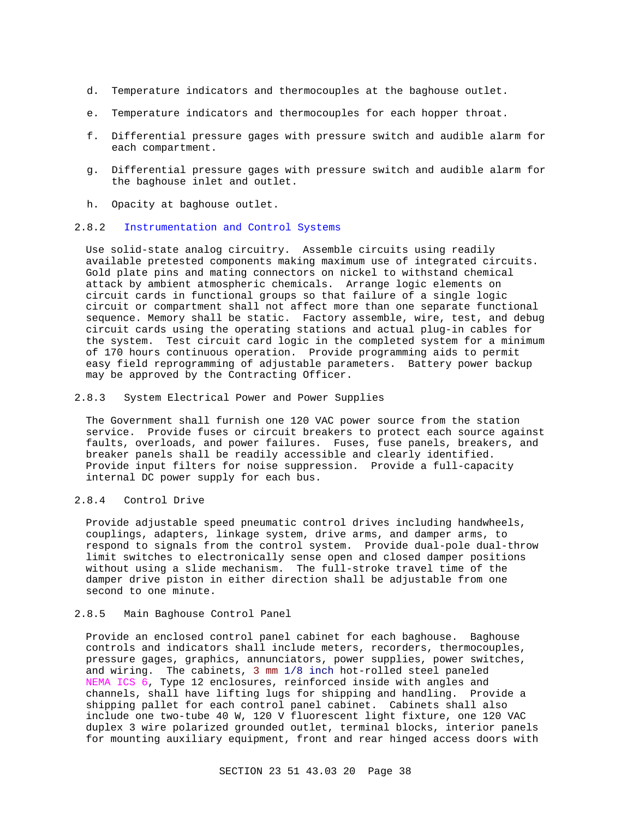- d. Temperature indicators and thermocouples at the baghouse outlet.
- e. Temperature indicators and thermocouples for each hopper throat.
- f. Differential pressure gages with pressure switch and audible alarm for each compartment.
- g. Differential pressure gages with pressure switch and audible alarm for the baghouse inlet and outlet.
- h. Opacity at baghouse outlet.

#### 2.8.2 Instrumentation and Control Systems

Use solid-state analog circuitry. Assemble circuits using readily available pretested components making maximum use of integrated circuits. Gold plate pins and mating connectors on nickel to withstand chemical attack by ambient atmospheric chemicals. Arrange logic elements on circuit cards in functional groups so that failure of a single logic circuit or compartment shall not affect more than one separate functional sequence. Memory shall be static. Factory assemble, wire, test, and debug circuit cards using the operating stations and actual plug-in cables for the system. Test circuit card logic in the completed system for a minimum of 170 hours continuous operation. Provide programming aids to permit easy field reprogramming of adjustable parameters. Battery power backup may be approved by the Contracting Officer.

2.8.3 System Electrical Power and Power Supplies

The Government shall furnish one 120 VAC power source from the station service. Provide fuses or circuit breakers to protect each source against faults, overloads, and power failures. Fuses, fuse panels, breakers, and breaker panels shall be readily accessible and clearly identified. Provide input filters for noise suppression. Provide a full-capacity internal DC power supply for each bus.

### 2.8.4 Control Drive

Provide adjustable speed pneumatic control drives including handwheels, couplings, adapters, linkage system, drive arms, and damper arms, to respond to signals from the control system. Provide dual-pole dual-throw limit switches to electronically sense open and closed damper positions without using a slide mechanism. The full-stroke travel time of the damper drive piston in either direction shall be adjustable from one second to one minute.

# 2.8.5 Main Baghouse Control Panel

Provide an enclosed control panel cabinet for each baghouse. Baghouse controls and indicators shall include meters, recorders, thermocouples, pressure gages, graphics, annunciators, power supplies, power switches, and wiring. The cabinets, 3 mm 1/8 inch hot-rolled steel paneled NEMA ICS 6, Type 12 enclosures, reinforced inside with angles and channels, shall have lifting lugs for shipping and handling. Provide a shipping pallet for each control panel cabinet. Cabinets shall also include one two-tube 40 W, 120 V fluorescent light fixture, one 120 VAC duplex 3 wire polarized grounded outlet, terminal blocks, interior panels for mounting auxiliary equipment, front and rear hinged access doors with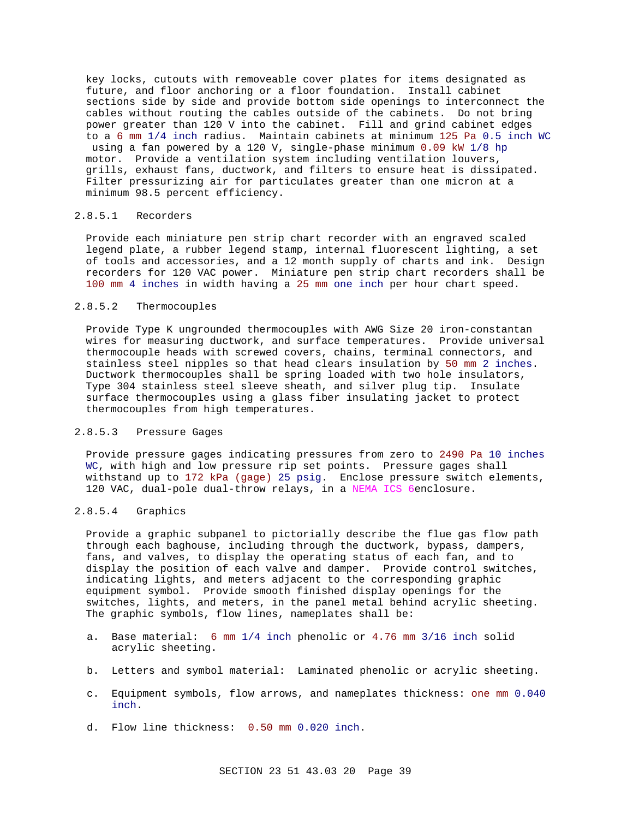key locks, cutouts with removeable cover plates for items designated as future, and floor anchoring or a floor foundation. Install cabinet sections side by side and provide bottom side openings to interconnect the cables without routing the cables outside of the cabinets. Do not bring power greater than 120 V into the cabinet. Fill and grind cabinet edges to a 6 mm 1/4 inch radius. Maintain cabinets at minimum 125 Pa 0.5 inch WC using a fan powered by a 120 V, single-phase minimum 0.09 kW 1/8 hp motor. Provide a ventilation system including ventilation louvers, grills, exhaust fans, ductwork, and filters to ensure heat is dissipated. Filter pressurizing air for particulates greater than one micron at a minimum 98.5 percent efficiency.

#### 2.8.5.1 Recorders

Provide each miniature pen strip chart recorder with an engraved scaled legend plate, a rubber legend stamp, internal fluorescent lighting, a set of tools and accessories, and a 12 month supply of charts and ink. Design recorders for 120 VAC power. Miniature pen strip chart recorders shall be 100 mm 4 inches in width having a 25 mm one inch per hour chart speed.

#### 2.8.5.2 Thermocouples

Provide Type K ungrounded thermocouples with AWG Size 20 iron-constantan wires for measuring ductwork, and surface temperatures. Provide universal thermocouple heads with screwed covers, chains, terminal connectors, and stainless steel nipples so that head clears insulation by 50 mm 2 inches. Ductwork thermocouples shall be spring loaded with two hole insulators, Type 304 stainless steel sleeve sheath, and silver plug tip. Insulate surface thermocouples using a glass fiber insulating jacket to protect thermocouples from high temperatures.

#### 2.8.5.3 Pressure Gages

Provide pressure gages indicating pressures from zero to 2490 Pa 10 inches WC, with high and low pressure rip set points. Pressure gages shall withstand up to 172 kPa (gage) 25 psig. Enclose pressure switch elements, 120 VAC, dual-pole dual-throw relays, in a NEMA ICS 6enclosure.

# 2.8.5.4 Graphics

Provide a graphic subpanel to pictorially describe the flue gas flow path through each baghouse, including through the ductwork, bypass, dampers, fans, and valves, to display the operating status of each fan, and to display the position of each valve and damper. Provide control switches, indicating lights, and meters adjacent to the corresponding graphic equipment symbol. Provide smooth finished display openings for the switches, lights, and meters, in the panel metal behind acrylic sheeting. The graphic symbols, flow lines, nameplates shall be:

- a. Base material: 6 mm 1/4 inch phenolic or 4.76 mm 3/16 inch solid acrylic sheeting.
- b. Letters and symbol material: Laminated phenolic or acrylic sheeting.
- c. Equipment symbols, flow arrows, and nameplates thickness: one mm 0.040 inch.
- d. Flow line thickness: 0.50 mm 0.020 inch.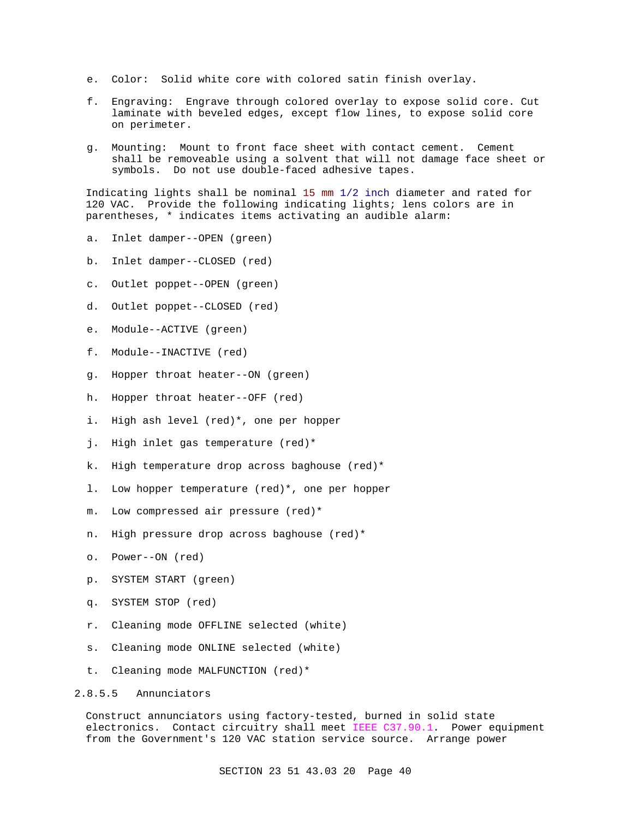- e. Color: Solid white core with colored satin finish overlay.
- f. Engraving: Engrave through colored overlay to expose solid core. Cut laminate with beveled edges, except flow lines, to expose solid core on perimeter.
- g. Mounting: Mount to front face sheet with contact cement. Cement shall be removeable using a solvent that will not damage face sheet or symbols. Do not use double-faced adhesive tapes.

Indicating lights shall be nominal 15 mm 1/2 inch diameter and rated for 120 VAC. Provide the following indicating lights; lens colors are in parentheses, \* indicates items activating an audible alarm:

- a. Inlet damper--OPEN (green)
- b. Inlet damper--CLOSED (red)
- c. Outlet poppet--OPEN (green)
- d. Outlet poppet--CLOSED (red)
- e. Module--ACTIVE (green)
- f. Module--INACTIVE (red)
- g. Hopper throat heater--ON (green)
- h. Hopper throat heater--OFF (red)
- i. High ash level (red)\*, one per hopper
- j. High inlet gas temperature (red)\*
- k. High temperature drop across baghouse (red)\*
- l. Low hopper temperature (red)\*, one per hopper
- m. Low compressed air pressure (red)\*
- n. High pressure drop across baghouse (red)\*
- o. Power--ON (red)
- p. SYSTEM START (green)
- q. SYSTEM STOP (red)
- r. Cleaning mode OFFLINE selected (white)
- s. Cleaning mode ONLINE selected (white)
- t. Cleaning mode MALFUNCTION (red)\*

#### 2.8.5.5 Annunciators

Construct annunciators using factory-tested, burned in solid state electronics. Contact circuitry shall meet IEEE C37.90.1. Power equipment from the Government's 120 VAC station service source. Arrange power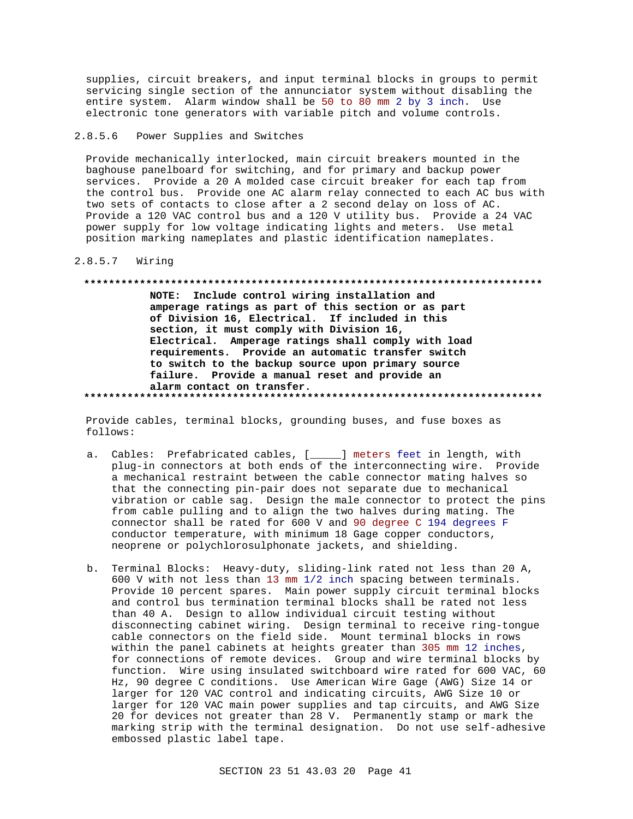supplies, circuit breakers, and input terminal blocks in groups to permit servicing single section of the annunciator system without disabling the entire system. Alarm window shall be 50 to 80 mm 2 by 3 inch. Use electronic tone generators with variable pitch and volume controls.

#### $2.8.5.6$ Power Supplies and Switches

Provide mechanically interlocked, main circuit breakers mounted in the baghouse panelboard for switching, and for primary and backup power services. Provide a 20 A molded case circuit breaker for each tap from the control bus. Provide one AC alarm relay connected to each AC bus with two sets of contacts to close after a 2 second delay on loss of AC. Provide a 120 VAC control bus and a 120 V utility bus. Provide a 24 VAC power supply for low voltage indicating lights and meters. Use metal position marking nameplates and plastic identification nameplates.

#### $2.8.5.7$ Wiring

NOTE: Include control wiring installation and amperage ratings as part of this section or as part of Division 16, Electrical. If included in this section, it must comply with Division 16, Electrical. Amperage ratings shall comply with load requirements. Provide an automatic transfer switch to switch to the backup source upon primary source failure. Provide a manual reset and provide an alarm contact on transfer. 

Provide cables, terminal blocks, grounding buses, and fuse boxes as follows:

- a. Cables: Prefabricated cables, [\_\_\_\_\_] meters feet in length, with plug-in connectors at both ends of the interconnecting wire. Provide a mechanical restraint between the cable connector mating halves so that the connecting pin-pair does not separate due to mechanical vibration or cable sag. Design the male connector to protect the pins from cable pulling and to align the two halves during mating. The connector shall be rated for 600 V and 90 degree C 194 degrees F conductor temperature, with minimum 18 Gage copper conductors, neoprene or polychlorosulphonate jackets, and shielding.
- b. Terminal Blocks: Heavy-duty, sliding-link rated not less than 20 A, 600 V with not less than 13 mm 1/2 inch spacing between terminals. Provide 10 percent spares. Main power supply circuit terminal blocks and control bus termination terminal blocks shall be rated not less than 40 A. Design to allow individual circuit testing without disconnecting cabinet wiring. Design terminal to receive ring-tongue cable connectors on the field side. Mount terminal blocks in rows within the panel cabinets at heights greater than 305 mm 12 inches, for connections of remote devices. Group and wire terminal blocks by function. Wire using insulated switchboard wire rated for 600 VAC, 60 Hz, 90 degree C conditions. Use American Wire Gage (AWG) Size 14 or larger for 120 VAC control and indicating circuits, AWG Size 10 or larger for 120 VAC main power supplies and tap circuits, and AWG Size 20 for devices not greater than 28 V. Permanently stamp or mark the marking strip with the terminal designation. Do not use self-adhesive embossed plastic label tape.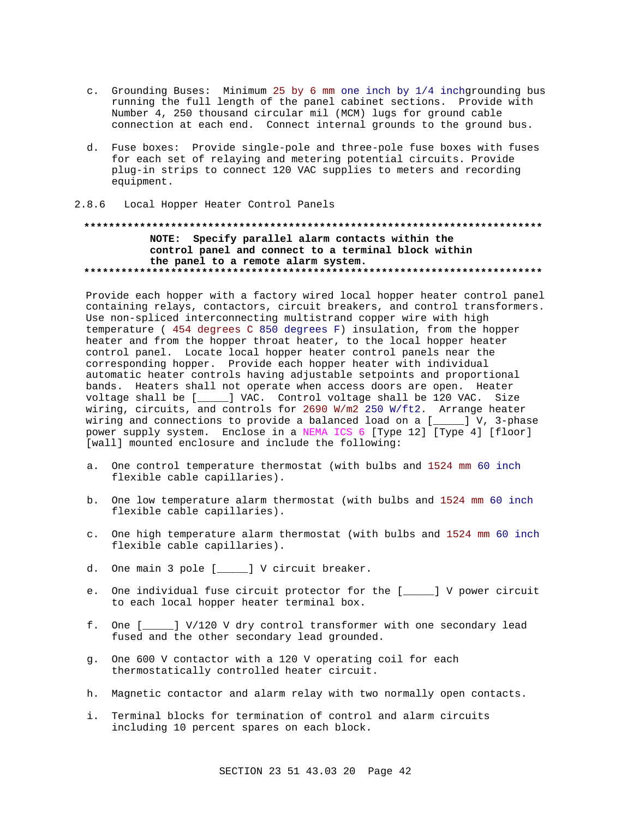- c. Grounding Buses: Minimum 25 by 6 mm one inch by 1/4 inchgrounding bus running the full length of the panel cabinet sections. Provide with Number 4, 250 thousand circular mil (MCM) lugs for ground cable connection at each end. Connect internal grounds to the ground bus.
- d. Fuse boxes: Provide single-pole and three-pole fuse boxes with fuses for each set of relaying and metering potential circuits. Provide plug-in strips to connect 120 VAC supplies to meters and recording equipment.

#### $2.8.6$ Local Hopper Heater Control Panels

### NOTE: Specify parallel alarm contacts within the control panel and connect to a terminal block within the panel to a remote alarm system.

Provide each hopper with a factory wired local hopper heater control panel containing relays, contactors, circuit breakers, and control transformers. Use non-spliced interconnecting multistrand copper wire with high temperature (454 degrees C 850 degrees F) insulation, from the hopper heater and from the hopper throat heater, to the local hopper heater control panel. Locate local hopper heater control panels near the corresponding hopper. Provide each hopper heater with individual automatic heater controls having adjustable setpoints and proportional bands. Heaters shall not operate when access doors are open. Heater voltage shall be [\_\_\_\_\_] VAC. Control voltage shall be 120 VAC. Size wiring, circuits, and controls for 2690 W/m2 250 W/ft2. Arrange heater wiring and connections to provide a balanced load on a [\_\_\_\_] V, 3-phase power supply system. Enclose in a NEMA ICS 6 [Type 12] [Type 4] [floor] [wall] mounted enclosure and include the following:

- a. One control temperature thermostat (with bulbs and 1524 mm 60 inch flexible cable capillaries).
- b. One low temperature alarm thermostat (with bulbs and 1524 mm 60 inch flexible cable capillaries).
- c. One high temperature alarm thermostat (with bulbs and 1524 mm 60 inch flexible cable capillaries).
- d. One main 3 pole [\_\_\_\_\_] V circuit breaker.
- e. One individual fuse circuit protector for the [\_\_\_\_] V power circuit to each local hopper heater terminal box.
- f. One [\_\_\_\_\_] V/120 V dry control transformer with one secondary lead fused and the other secondary lead grounded.
- g. One 600 V contactor with a 120 V operating coil for each thermostatically controlled heater circuit.
- h. Magnetic contactor and alarm relay with two normally open contacts.
- i. Terminal blocks for termination of control and alarm circuits including 10 percent spares on each block.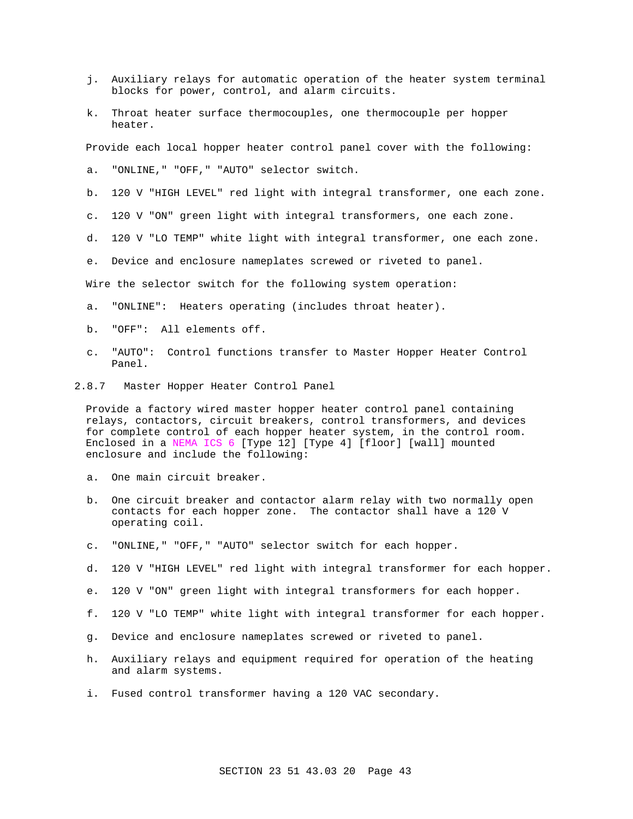- j. Auxiliary relays for automatic operation of the heater system terminal blocks for power, control, and alarm circuits.
- k. Throat heater surface thermocouples, one thermocouple per hopper heater.

Provide each local hopper heater control panel cover with the following:

- a. "ONLINE," "OFF," "AUTO" selector switch.
- b. 120 V "HIGH LEVEL" red light with integral transformer, one each zone.
- c. 120 V "ON" green light with integral transformers, one each zone.
- d. 120 V "LO TEMP" white light with integral transformer, one each zone.
- e. Device and enclosure nameplates screwed or riveted to panel.

Wire the selector switch for the following system operation:

- a. "ONLINE": Heaters operating (includes throat heater).
- b. "OFF": All elements off.
- c. "AUTO": Control functions transfer to Master Hopper Heater Control Panel.
- 2.8.7 Master Hopper Heater Control Panel

Provide a factory wired master hopper heater control panel containing relays, contactors, circuit breakers, control transformers, and devices for complete control of each hopper heater system, in the control room. Enclosed in a NEMA ICS 6 [Type 12] [Type 4] [floor] [wall] mounted enclosure and include the following:

- a. One main circuit breaker.
- b. One circuit breaker and contactor alarm relay with two normally open contacts for each hopper zone. The contactor shall have a 120 V operating coil.
- c. "ONLINE," "OFF," "AUTO" selector switch for each hopper.
- d. 120 V "HIGH LEVEL" red light with integral transformer for each hopper.
- e. 120 V "ON" green light with integral transformers for each hopper.
- f. 120 V "LO TEMP" white light with integral transformer for each hopper.
- g. Device and enclosure nameplates screwed or riveted to panel.
- h. Auxiliary relays and equipment required for operation of the heating and alarm systems.
- i. Fused control transformer having a 120 VAC secondary.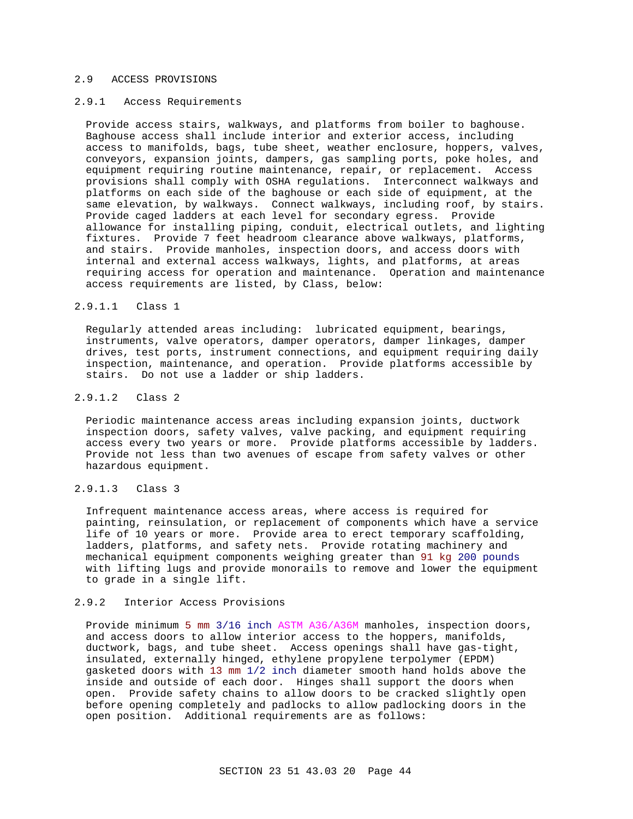#### 2.9 ACCESS PROVISIONS

#### 2.9.1 Access Requirements

Provide access stairs, walkways, and platforms from boiler to baghouse. Baghouse access shall include interior and exterior access, including access to manifolds, bags, tube sheet, weather enclosure, hoppers, valves, conveyors, expansion joints, dampers, gas sampling ports, poke holes, and equipment requiring routine maintenance, repair, or replacement. Access provisions shall comply with OSHA regulations. Interconnect walkways and platforms on each side of the baghouse or each side of equipment, at the same elevation, by walkways. Connect walkways, including roof, by stairs. Provide caged ladders at each level for secondary egress. Provide allowance for installing piping, conduit, electrical outlets, and lighting fixtures. Provide 7 feet headroom clearance above walkways, platforms, and stairs. Provide manholes, inspection doors, and access doors with internal and external access walkways, lights, and platforms, at areas requiring access for operation and maintenance. Operation and maintenance access requirements are listed, by Class, below:

#### 2.9.1.1 Class 1

Regularly attended areas including: lubricated equipment, bearings, instruments, valve operators, damper operators, damper linkages, damper drives, test ports, instrument connections, and equipment requiring daily inspection, maintenance, and operation. Provide platforms accessible by stairs. Do not use a ladder or ship ladders.

# 2.9.1.2 Class 2

Periodic maintenance access areas including expansion joints, ductwork inspection doors, safety valves, valve packing, and equipment requiring access every two years or more. Provide platforms accessible by ladders. Provide not less than two avenues of escape from safety valves or other hazardous equipment.

#### 2.9.1.3 Class 3

Infrequent maintenance access areas, where access is required for painting, reinsulation, or replacement of components which have a service life of 10 years or more. Provide area to erect temporary scaffolding, ladders, platforms, and safety nets. Provide rotating machinery and mechanical equipment components weighing greater than 91 kg 200 pounds with lifting lugs and provide monorails to remove and lower the equipment to grade in a single lift.

### 2.9.2 Interior Access Provisions

Provide minimum 5 mm 3/16 inch ASTM A36/A36M manholes, inspection doors, and access doors to allow interior access to the hoppers, manifolds, ductwork, bags, and tube sheet. Access openings shall have gas-tight, insulated, externally hinged, ethylene propylene terpolymer (EPDM) gasketed doors with 13 mm 1/2 inch diameter smooth hand holds above the inside and outside of each door. Hinges shall support the doors when open. Provide safety chains to allow doors to be cracked slightly open before opening completely and padlocks to allow padlocking doors in the open position. Additional requirements are as follows: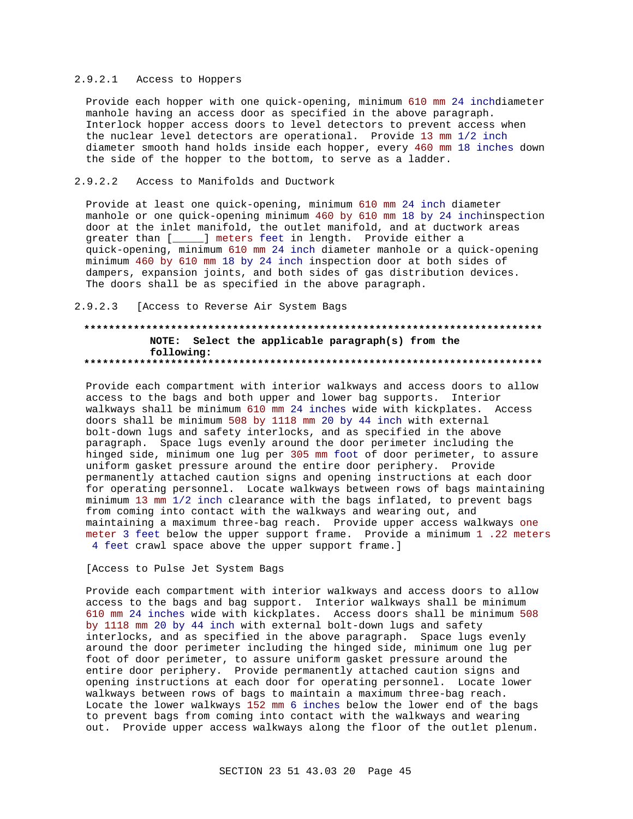### 2.9.2.1 Access to Hoppers

Provide each hopper with one quick-opening, minimum 610 mm 24 inchdiameter manhole having an access door as specified in the above paragraph. Interlock hopper access doors to level detectors to prevent access when the nuclear level detectors are operational. Provide 13 mm 1/2 inch diameter smooth hand holds inside each hopper, every 460 mm 18 inches down the side of the hopper to the bottom, to serve as a ladder.

# 2.9.2.2 Access to Manifolds and Ductwork

Provide at least one quick-opening, minimum 610 mm 24 inch diameter manhole or one quick-opening minimum 460 by 610 mm 18 by 24 inchinspection door at the inlet manifold, the outlet manifold, and at ductwork areas greater than [\_\_\_\_\_] meters feet in length. Provide either a quick-opening, minimum 610 mm 24 inch diameter manhole or a quick-opening minimum 460 by 610 mm 18 by 24 inch inspection door at both sides of dampers, expansion joints, and both sides of gas distribution devices. The doors shall be as specified in the above paragraph.

#### 2.9.2.3 [Access to Reverse Air System Bags

### **\*\*\*\*\*\*\*\*\*\*\*\*\*\*\*\*\*\*\*\*\*\*\*\*\*\*\*\*\*\*\*\*\*\*\*\*\*\*\*\*\*\*\*\*\*\*\*\*\*\*\*\*\*\*\*\*\*\*\*\*\*\*\*\*\*\*\*\*\*\*\*\*\*\* NOTE: Select the applicable paragraph(s) from the following: \*\*\*\*\*\*\*\*\*\*\*\*\*\*\*\*\*\*\*\*\*\*\*\*\*\*\*\*\*\*\*\*\*\*\*\*\*\*\*\*\*\*\*\*\*\*\*\*\*\*\*\*\*\*\*\*\*\*\*\*\*\*\*\*\*\*\*\*\*\*\*\*\*\***

Provide each compartment with interior walkways and access doors to allow access to the bags and both upper and lower bag supports. Interior walkways shall be minimum 610 mm 24 inches wide with kickplates. Access doors shall be minimum 508 by 1118 mm 20 by 44 inch with external bolt-down lugs and safety interlocks, and as specified in the above paragraph. Space lugs evenly around the door perimeter including the hinged side, minimum one lug per 305 mm foot of door perimeter, to assure uniform gasket pressure around the entire door periphery. Provide permanently attached caution signs and opening instructions at each door for operating personnel. Locate walkways between rows of bags maintaining minimum 13 mm 1/2 inch clearance with the bags inflated, to prevent bags from coming into contact with the walkways and wearing out, and maintaining a maximum three-bag reach. Provide upper access walkways one meter 3 feet below the upper support frame. Provide a minimum 1 .22 meters 4 feet crawl space above the upper support frame.]

[Access to Pulse Jet System Bags

Provide each compartment with interior walkways and access doors to allow access to the bags and bag support. Interior walkways shall be minimum 610 mm 24 inches wide with kickplates. Access doors shall be minimum 508 by 1118 mm 20 by 44 inch with external bolt-down lugs and safety interlocks, and as specified in the above paragraph. Space lugs evenly around the door perimeter including the hinged side, minimum one lug per foot of door perimeter, to assure uniform gasket pressure around the entire door periphery. Provide permanently attached caution signs and opening instructions at each door for operating personnel. Locate lower walkways between rows of bags to maintain a maximum three-bag reach. Locate the lower walkways 152 mm 6 inches below the lower end of the bags to prevent bags from coming into contact with the walkways and wearing out. Provide upper access walkways along the floor of the outlet plenum.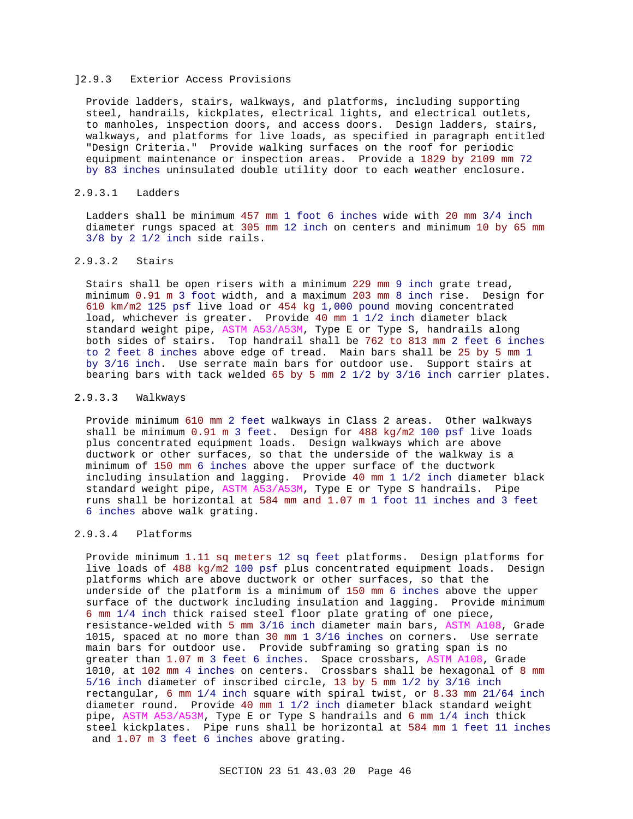#### ]2.9.3 Exterior Access Provisions

Provide ladders, stairs, walkways, and platforms, including supporting steel, handrails, kickplates, electrical lights, and electrical outlets, to manholes, inspection doors, and access doors. Design ladders, stairs, walkways, and platforms for live loads, as specified in paragraph entitled "Design Criteria." Provide walking surfaces on the roof for periodic equipment maintenance or inspection areas. Provide a 1829 by 2109 mm 72 by 83 inches uninsulated double utility door to each weather enclosure.

#### 2.9.3.1 Ladders

Ladders shall be minimum 457 mm 1 foot 6 inches wide with 20 mm 3/4 inch diameter rungs spaced at 305 mm 12 inch on centers and minimum 10 by 65 mm 3/8 by 2 1/2 inch side rails.

# 2.9.3.2 Stairs

Stairs shall be open risers with a minimum 229 mm 9 inch grate tread, minimum 0.91 m 3 foot width, and a maximum 203 mm 8 inch rise. Design for 610 km/m2 125 psf live load or 454 kg 1,000 pound moving concentrated load, whichever is greater. Provide 40 mm 1 1/2 inch diameter black standard weight pipe, ASTM A53/A53M, Type E or Type S, handrails along both sides of stairs. Top handrail shall be 762 to 813 mm 2 feet 6 inches to 2 feet 8 inches above edge of tread. Main bars shall be 25 by 5 mm 1 by 3/16 inch. Use serrate main bars for outdoor use. Support stairs at bearing bars with tack welded 65 by 5 mm 2 1/2 by 3/16 inch carrier plates.

#### 2.9.3.3 Walkways

Provide minimum 610 mm 2 feet walkways in Class 2 areas. Other walkways shall be minimum 0.91 m 3 feet. Design for 488 kg/m2 100 psf live loads plus concentrated equipment loads. Design walkways which are above ductwork or other surfaces, so that the underside of the walkway is a minimum of 150 mm 6 inches above the upper surface of the ductwork including insulation and lagging. Provide 40 mm 1 1/2 inch diameter black standard weight pipe, ASTM A53/A53M, Type E or Type S handrails. Pipe runs shall be horizontal at 584 mm and 1.07 m 1 foot 11 inches and 3 feet 6 inches above walk grating.

# 2.9.3.4 Platforms

Provide minimum 1.11 sq meters 12 sq feet platforms. Design platforms for live loads of 488 kg/m2 100 psf plus concentrated equipment loads. Design platforms which are above ductwork or other surfaces, so that the underside of the platform is a minimum of 150 mm 6 inches above the upper surface of the ductwork including insulation and lagging. Provide minimum 6 mm 1/4 inch thick raised steel floor plate grating of one piece, resistance-welded with 5 mm 3/16 inch diameter main bars, ASTM A108, Grade 1015, spaced at no more than 30 mm 1 3/16 inches on corners. Use serrate main bars for outdoor use. Provide subframing so grating span is no greater than 1.07 m 3 feet 6 inches. Space crossbars, ASTM A108, Grade 1010, at 102 mm 4 inches on centers. Crossbars shall be hexagonal of 8 mm 5/16 inch diameter of inscribed circle, 13 by 5 mm 1/2 by 3/16 inch rectangular, 6 mm 1/4 inch square with spiral twist, or 8.33 mm 21/64 inch diameter round. Provide 40 mm 1 1/2 inch diameter black standard weight pipe, ASTM A53/A53M, Type E or Type S handrails and 6 mm 1/4 inch thick steel kickplates. Pipe runs shall be horizontal at 584 mm 1 feet 11 inches and 1.07 m 3 feet 6 inches above grating.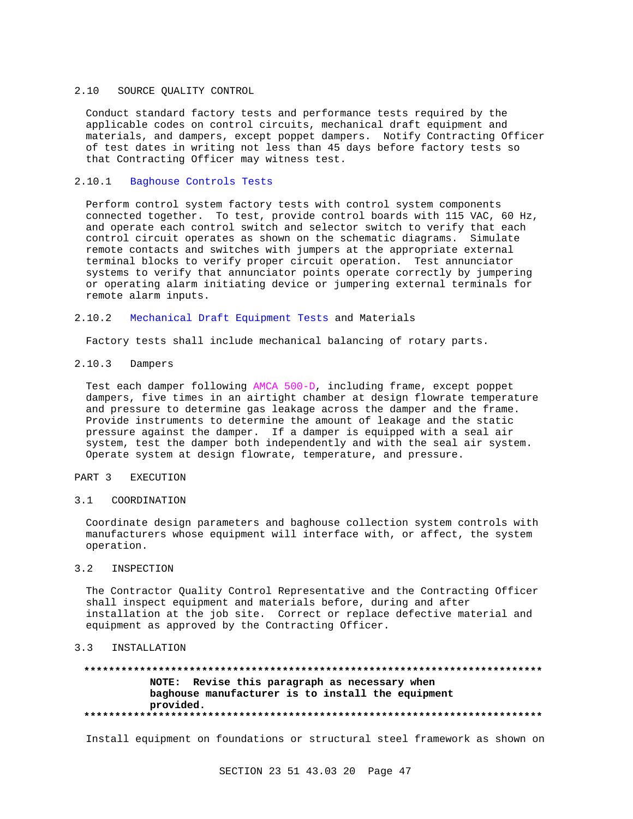#### $2.10$ SOURCE QUALITY CONTROL

Conduct standard factory tests and performance tests required by the applicable codes on control circuits, mechanical draft equipment and materials, and dampers, except poppet dampers. Notify Contracting Officer of test dates in writing not less than 45 days before factory tests so that Contracting Officer may witness test.

#### $2.10.1$ Baghouse Controls Tests

Perform control system factory tests with control system components connected together. To test, provide control boards with 115 VAC, 60 Hz, and operate each control switch and selector switch to verify that each control circuit operates as shown on the schematic diagrams. Simulate remote contacts and switches with jumpers at the appropriate external terminal blocks to verify proper circuit operation. Test annunciator systems to verify that annunciator points operate correctly by jumpering or operating alarm initiating device or jumpering external terminals for remote alarm inputs.

#### $2.10.2$ Mechanical Draft Equipment Tests and Materials

Factory tests shall include mechanical balancing of rotary parts.

2.10.3 Dampers

Test each damper following AMCA 500-D, including frame, except poppet dampers, five times in an airtight chamber at design flowrate temperature and pressure to determine gas leakage across the damper and the frame. Provide instruments to determine the amount of leakage and the static pressure against the damper. If a damper is equipped with a seal air system, test the damper both independently and with the seal air system. Operate system at design flowrate, temperature, and pressure.

#### PART 3 **EXECUTION**

#### 3.1 COORDINATION

Coordinate design parameters and baghouse collection system controls with manufacturers whose equipment will interface with, or affect, the system operation.

#### $3.2$ INSPECTION

The Contractor Quality Control Representative and the Contracting Officer shall inspect equipment and materials before, during and after installation at the job site. Correct or replace defective material and equipment as approved by the Contracting Officer.

#### $3.3$ INSTALLATION

#### \*\*\*\*\*\*\*\*\*\*\*\*\*\*\*\*\*\*\* NOTE: Revise this paragraph as necessary when baghouse manufacturer is to install the equipment provided.

Install equipment on foundations or structural steel framework as shown on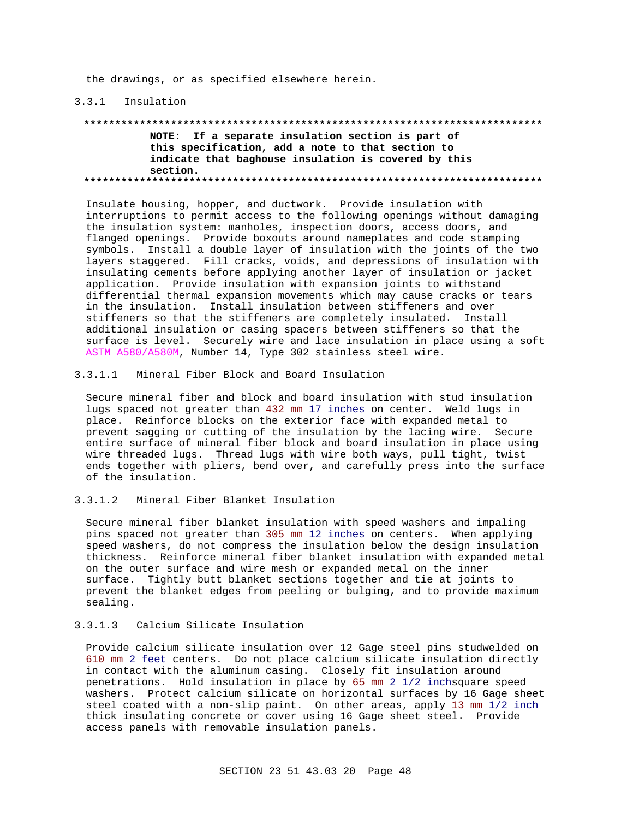the drawings, or as specified elsewhere herein.

#### 3.3.1 Insulation

### **\*\*\*\*\*\*\*\*\*\*\*\*\*\*\*\*\*\*\*\*\*\*\*\*\*\*\*\*\*\*\*\*\*\*\*\*\*\*\*\*\*\*\*\*\*\*\*\*\*\*\*\*\*\*\*\*\*\*\*\*\*\*\*\*\*\*\*\*\*\*\*\*\*\* NOTE: If a separate insulation section is part of this specification, add a note to that section to indicate that baghouse insulation is covered by this section. \*\*\*\*\*\*\*\*\*\*\*\*\*\*\*\*\*\*\*\*\*\*\*\*\*\*\*\*\*\*\*\*\*\*\*\*\*\*\*\*\*\*\*\*\*\*\*\*\*\*\*\*\*\*\*\*\*\*\*\*\*\*\*\*\*\*\*\*\*\*\*\*\*\***

Insulate housing, hopper, and ductwork. Provide insulation with interruptions to permit access to the following openings without damaging the insulation system: manholes, inspection doors, access doors, and flanged openings. Provide boxouts around nameplates and code stamping symbols. Install a double layer of insulation with the joints of the two layers staggered. Fill cracks, voids, and depressions of insulation with insulating cements before applying another layer of insulation or jacket application. Provide insulation with expansion joints to withstand differential thermal expansion movements which may cause cracks or tears in the insulation. Install insulation between stiffeners and over stiffeners so that the stiffeners are completely insulated. Install additional insulation or casing spacers between stiffeners so that the surface is level. Securely wire and lace insulation in place using a soft ASTM A580/A580M, Number 14, Type 302 stainless steel wire.

#### 3.3.1.1 Mineral Fiber Block and Board Insulation

Secure mineral fiber and block and board insulation with stud insulation lugs spaced not greater than 432 mm 17 inches on center. Weld lugs in place. Reinforce blocks on the exterior face with expanded metal to prevent sagging or cutting of the insulation by the lacing wire. Secure entire surface of mineral fiber block and board insulation in place using wire threaded lugs. Thread lugs with wire both ways, pull tight, twist ends together with pliers, bend over, and carefully press into the surface of the insulation.

#### 3.3.1.2 Mineral Fiber Blanket Insulation

Secure mineral fiber blanket insulation with speed washers and impaling pins spaced not greater than 305 mm 12 inches on centers. When applying speed washers, do not compress the insulation below the design insulation thickness. Reinforce mineral fiber blanket insulation with expanded metal on the outer surface and wire mesh or expanded metal on the inner surface. Tightly butt blanket sections together and tie at joints to prevent the blanket edges from peeling or bulging, and to provide maximum sealing.

### 3.3.1.3 Calcium Silicate Insulation

Provide calcium silicate insulation over 12 Gage steel pins studwelded on 610 mm 2 feet centers. Do not place calcium silicate insulation directly in contact with the aluminum casing. Closely fit insulation around penetrations. Hold insulation in place by 65 mm 2 1/2 inchsquare speed washers. Protect calcium silicate on horizontal surfaces by 16 Gage sheet steel coated with a non-slip paint. On other areas, apply 13 mm 1/2 inch thick insulating concrete or cover using 16 Gage sheet steel. Provide access panels with removable insulation panels.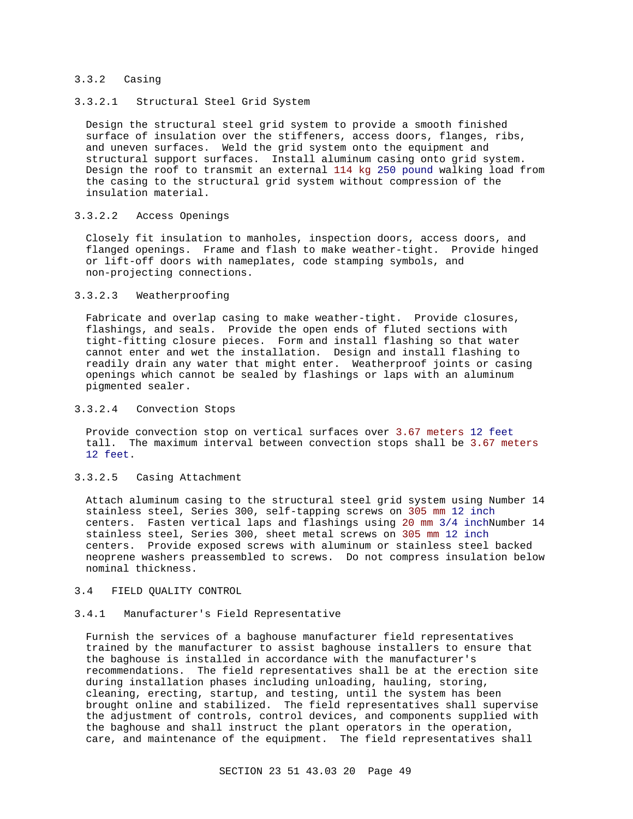### 3.3.2 Casing

#### 3.3.2.1 Structural Steel Grid System

Design the structural steel grid system to provide a smooth finished surface of insulation over the stiffeners, access doors, flanges, ribs, and uneven surfaces. Weld the grid system onto the equipment and structural support surfaces. Install aluminum casing onto grid system. Design the roof to transmit an external 114 kg 250 pound walking load from the casing to the structural grid system without compression of the insulation material.

#### 3.3.2.2 Access Openings

Closely fit insulation to manholes, inspection doors, access doors, and flanged openings. Frame and flash to make weather-tight. Provide hinged or lift-off doors with nameplates, code stamping symbols, and non-projecting connections.

### 3.3.2.3 Weatherproofing

Fabricate and overlap casing to make weather-tight. Provide closures, flashings, and seals. Provide the open ends of fluted sections with tight-fitting closure pieces. Form and install flashing so that water cannot enter and wet the installation. Design and install flashing to readily drain any water that might enter. Weatherproof joints or casing openings which cannot be sealed by flashings or laps with an aluminum pigmented sealer.

### 3.3.2.4 Convection Stops

Provide convection stop on vertical surfaces over 3.67 meters 12 feet tall. The maximum interval between convection stops shall be 3.67 meters 12 feet.

### 3.3.2.5 Casing Attachment

Attach aluminum casing to the structural steel grid system using Number 14 stainless steel, Series 300, self-tapping screws on 305 mm 12 inch centers. Fasten vertical laps and flashings using 20 mm 3/4 inchNumber 14 stainless steel, Series 300, sheet metal screws on 305 mm 12 inch centers. Provide exposed screws with aluminum or stainless steel backed neoprene washers preassembled to screws. Do not compress insulation below nominal thickness.

#### 3.4 FIELD QUALITY CONTROL

### 3.4.1 Manufacturer's Field Representative

Furnish the services of a baghouse manufacturer field representatives trained by the manufacturer to assist baghouse installers to ensure that the baghouse is installed in accordance with the manufacturer's recommendations. The field representatives shall be at the erection site during installation phases including unloading, hauling, storing, cleaning, erecting, startup, and testing, until the system has been brought online and stabilized. The field representatives shall supervise the adjustment of controls, control devices, and components supplied with the baghouse and shall instruct the plant operators in the operation, care, and maintenance of the equipment. The field representatives shall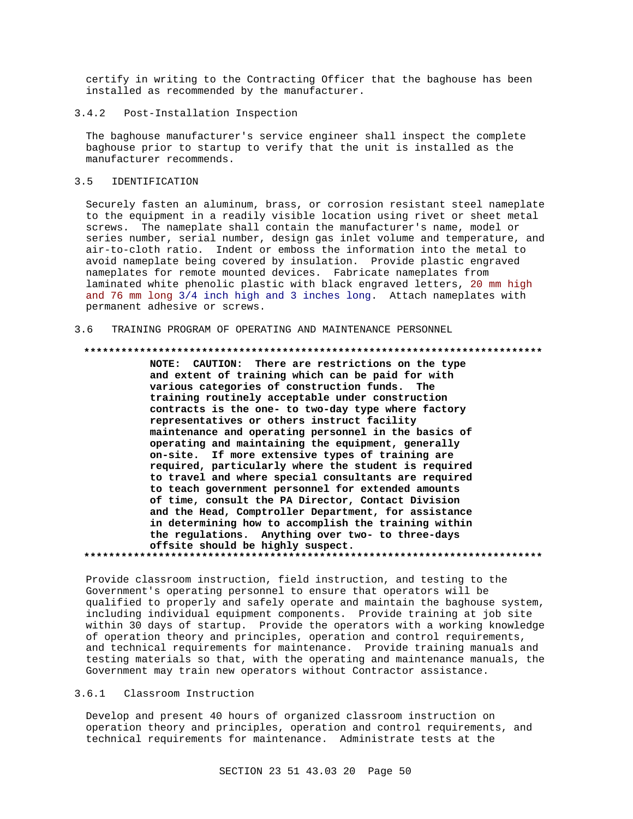certify in writing to the Contracting Officer that the baghouse has been installed as recommended by the manufacturer.

### 3.4.2 Post-Installation Inspection

The baghouse manufacturer's service engineer shall inspect the complete baghouse prior to startup to verify that the unit is installed as the manufacturer recommends.

### 3.5 IDENTIFICATION

Securely fasten an aluminum, brass, or corrosion resistant steel nameplate to the equipment in a readily visible location using rivet or sheet metal screws. The nameplate shall contain the manufacturer's name, model or series number, serial number, design gas inlet volume and temperature, and air-to-cloth ratio. Indent or emboss the information into the metal to avoid nameplate being covered by insulation. Provide plastic engraved nameplates for remote mounted devices. Fabricate nameplates from laminated white phenolic plastic with black engraved letters, 20 mm high and 76 mm long 3/4 inch high and 3 inches long. Attach nameplates with permanent adhesive or screws.

#### 3.6 TRAINING PROGRAM OF OPERATING AND MAINTENANCE PERSONNEL

#### **\*\*\*\*\*\*\*\*\*\*\*\*\*\*\*\*\*\*\*\*\*\*\*\*\*\*\*\*\*\*\*\*\*\*\*\*\*\*\*\*\*\*\*\*\*\*\*\*\*\*\*\*\*\*\*\*\*\*\*\*\*\*\*\*\*\*\*\*\*\*\*\*\*\***

**NOTE: CAUTION: There are restrictions on the type and extent of training which can be paid for with various categories of construction funds. The training routinely acceptable under construction contracts is the one- to two-day type where factory representatives or others instruct facility maintenance and operating personnel in the basics of operating and maintaining the equipment, generally on-site. If more extensive types of training are required, particularly where the student is required to travel and where special consultants are required to teach government personnel for extended amounts of time, consult the PA Director, Contact Division and the Head, Comptroller Department, for assistance in determining how to accomplish the training within the regulations. Anything over two- to three-days offsite should be highly suspect. \*\*\*\*\*\*\*\*\*\*\*\*\*\*\*\*\*\*\*\*\*\*\*\*\*\*\*\*\*\*\*\*\*\*\*\*\*\*\*\*\*\*\*\*\*\*\*\*\*\*\*\*\*\*\*\*\*\*\*\*\*\*\*\*\*\*\*\*\*\*\*\*\*\***

Provide classroom instruction, field instruction, and testing to the Government's operating personnel to ensure that operators will be qualified to properly and safely operate and maintain the baghouse system, including individual equipment components. Provide training at job site within 30 days of startup. Provide the operators with a working knowledge of operation theory and principles, operation and control requirements, and technical requirements for maintenance. Provide training manuals and testing materials so that, with the operating and maintenance manuals, the Government may train new operators without Contractor assistance.

### 3.6.1 Classroom Instruction

Develop and present 40 hours of organized classroom instruction on operation theory and principles, operation and control requirements, and technical requirements for maintenance. Administrate tests at the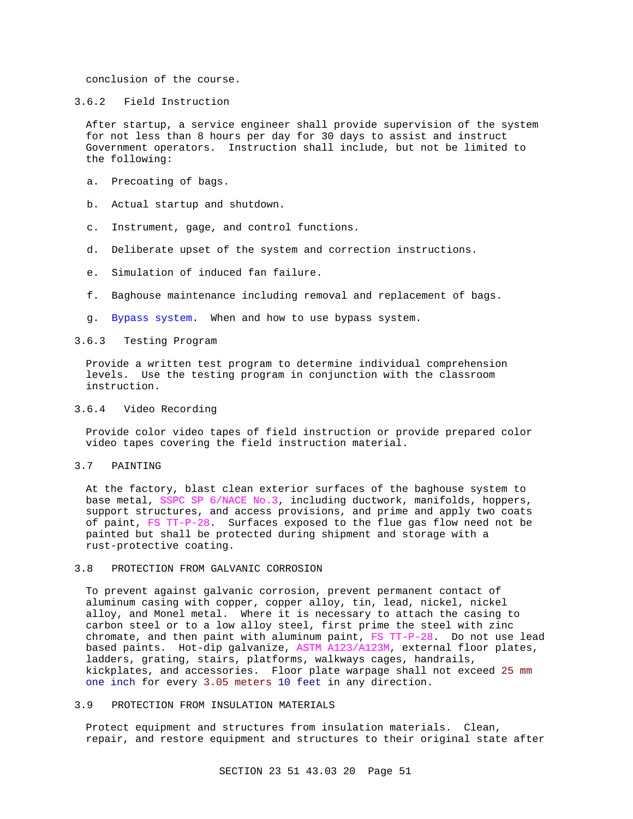conclusion of the course.

3.6.2 Field Instruction

After startup, a service engineer shall provide supervision of the system for not less than 8 hours per day for 30 days to assist and instruct Government operators. Instruction shall include, but not be limited to the following:

- a. Precoating of bags.
- b. Actual startup and shutdown.
- c. Instrument, gage, and control functions.
- d. Deliberate upset of the system and correction instructions.
- e. Simulation of induced fan failure.
- f. Baghouse maintenance including removal and replacement of bags.
- g. Bypass system. When and how to use bypass system.
- 3.6.3 Testing Program

Provide a written test program to determine individual comprehension levels. Use the testing program in conjunction with the classroom instruction.

#### 3.6.4 Video Recording

Provide color video tapes of field instruction or provide prepared color video tapes covering the field instruction material.

3.7 PAINTING

At the factory, blast clean exterior surfaces of the baghouse system to base metal, SSPC SP 6/NACE No.3, including ductwork, manifolds, hoppers, support structures, and access provisions, and prime and apply two coats of paint, FS TT-P-28. Surfaces exposed to the flue gas flow need not be painted but shall be protected during shipment and storage with a rust-protective coating.

# 3.8 PROTECTION FROM GALVANIC CORROSION

To prevent against galvanic corrosion, prevent permanent contact of aluminum casing with copper, copper alloy, tin, lead, nickel, nickel alloy, and Monel metal. Where it is necessary to attach the casing to carbon steel or to a low alloy steel, first prime the steel with zinc chromate, and then paint with aluminum paint, FS TT-P-28. Do not use lead based paints. Hot-dip galvanize, ASTM A123/A123M, external floor plates, ladders, grating, stairs, platforms, walkways cages, handrails, kickplates, and accessories. Floor plate warpage shall not exceed 25 mm one inch for every 3.05 meters 10 feet in any direction.

### 3.9 PROTECTION FROM INSULATION MATERIALS

Protect equipment and structures from insulation materials. Clean, repair, and restore equipment and structures to their original state after